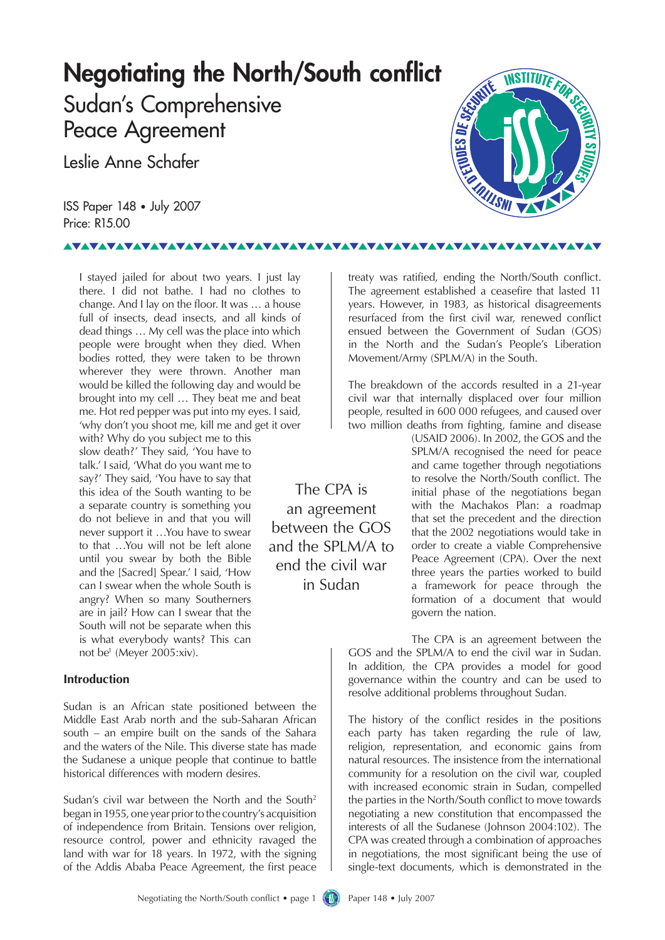# **Negotiating the North/South conflict**

## Sudan's Comprehensive Peace Agreement

<u>VAVAVAVAVAVAVAVAVAVAVA</u>

Leslie Anne Schafer

ISS Paper 148 • July 2007 Price: R15.00



I stayed jailed for about two years. I just lay there. I did not bathe. I had no clothes to change. And I lay on the floor. It was … a house full of insects, dead insects, and all kinds of dead things … My cell was the place into which people were brought when they died. When bodies rotted, they were taken to be thrown wherever they were thrown. Another man would be killed the following day and would be brought into my cell … They beat me and beat me. Hot red pepper was put into my eyes. I said, 'why don't you shoot me, kill me and get it over

with? Why do you subject me to this slow death?' They said, 'You have to talk.' I said, 'What do you want me to say?' They said, 'You have to say that this idea of the South wanting to be a separate country is something you do not believe in and that you will never support it …You have to swear to that …You will not be left alone until you swear by both the Bible and the [Sacred] Spear.' I said, 'How can I swear when the whole South is angry? When so many Southerners are in jail? How can I swear that the South will not be separate when this is what everybody wants? This can not be<sup>1</sup> (Meyer 2005:xiv).

## **Introduction**

Sudan is an African state positioned between the Middle East Arab north and the sub-Saharan African south – an empire built on the sands of the Sahara and the waters of the Nile. This diverse state has made the Sudanese a unique people that continue to battle historical differences with modern desires.

Sudan's civil war between the North and the South<sup>2</sup> began in 1955, one year prior to the country's acquisition of independence from Britain. Tensions over religion, resource control, power and ethnicity ravaged the land with war for 18 years. In 1972, with the signing of the Addis Ababa Peace Agreement, the first peace treaty was ratified, ending the North/South conflict. The agreement established a ceasefire that lasted 11 years. However, in 1983, as historical disagreements resurfaced from the first civil war, renewed conflict ensued between the Government of Sudan (GOS) in the North and the Sudan's People's Liberation Movement/Army (SPLM/A) in the South.

The breakdown of the accords resulted in a 21-year civil war that internally displaced over four million people, resulted in 600 000 refugees, and caused over two million deaths from fighting, famine and disease

The CPA is an agreement between the GOS and the SPLM/A to end the civil war in Sudan

(USAID 2006). In 2002, the GOS and the SPLM/A recognised the need for peace and came together through negotiations to resolve the North/South conflict. The initial phase of the negotiations began with the Machakos Plan: a roadmap that set the precedent and the direction that the 2002 negotiations would take in order to create a viable Comprehensive Peace Agreement (CPA). Over the next three years the parties worked to build a framework for peace through the formation of a document that would govern the nation.

The CPA is an agreement between the GOS and the SPLM/A to end the civil war in Sudan. In addition, the CPA provides a model for good governance within the country and can be used to resolve additional problems throughout Sudan.

The history of the conflict resides in the positions each party has taken regarding the rule of law, religion, representation, and economic gains from natural resources. The insistence from the international community for a resolution on the civil war, coupled with increased economic strain in Sudan, compelled the parties in the North/South conflict to move towards negotiating a new constitution that encompassed the interests of all the Sudanese (Johnson 2004:102). The CPA was created through a combination of approaches in negotiations, the most significant being the use of single-text documents, which is demonstrated in the

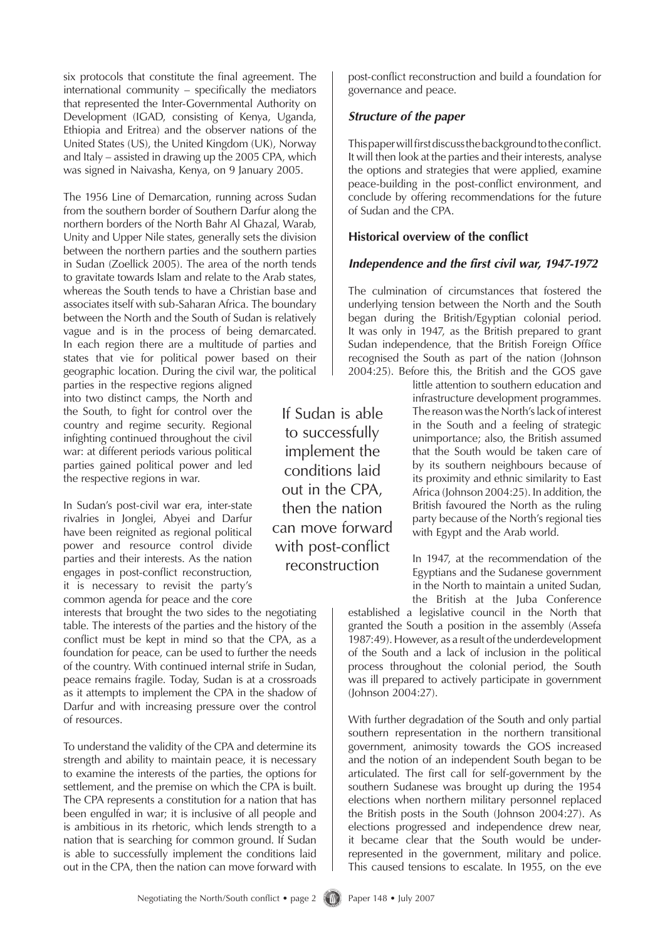six protocols that constitute the final agreement. The international community – specifically the mediators that represented the Inter-Governmental Authority on Development (IGAD, consisting of Kenya, Uganda, Ethiopia and Eritrea) and the observer nations of the United States (US), the United Kingdom (UK), Norway and Italy – assisted in drawing up the 2005 CPA, which was signed in Naivasha, Kenya, on 9 January 2005.

The 1956 Line of Demarcation, running across Sudan from the southern border of Southern Darfur along the northern borders of the North Bahr Al Ghazal, Warab, Unity and Upper Nile states, generally sets the division between the northern parties and the southern parties in Sudan (Zoellick 2005). The area of the north tends to gravitate towards Islam and relate to the Arab states, whereas the South tends to have a Christian base and associates itself with sub-Saharan Africa. The boundary between the North and the South of Sudan is relatively vague and is in the process of being demarcated. In each region there are a multitude of parties and states that vie for political power based on their geographic location. During the civil war, the political

parties in the respective regions aligned into two distinct camps, the North and the South, to fight for control over the country and regime security. Regional infighting continued throughout the civil war: at different periods various political parties gained political power and led the respective regions in war.

In Sudan's post-civil war era, inter-state rivalries in Jonglei, Abyei and Darfur have been reignited as regional political power and resource control divide parties and their interests. As the nation engages in post-conflict reconstruction, it is necessary to revisit the party's common agenda for peace and the core

interests that brought the two sides to the negotiating table. The interests of the parties and the history of the conflict must be kept in mind so that the CPA, as a foundation for peace, can be used to further the needs of the country. With continued internal strife in Sudan, peace remains fragile. Today, Sudan is at a crossroads as it attempts to implement the CPA in the shadow of Darfur and with increasing pressure over the control of resources.

To understand the validity of the CPA and determine its strength and ability to maintain peace, it is necessary to examine the interests of the parties, the options for settlement, and the premise on which the CPA is built. The CPA represents a constitution for a nation that has been engulfed in war; it is inclusive of all people and is ambitious in its rhetoric, which lends strength to a nation that is searching for common ground. If Sudan is able to successfully implement the conditions laid out in the CPA, then the nation can move forward with

If Sudan is able to successfully implement the conditions laid out in the CPA, then the nation can move forward with post-conflict reconstruction

post-conflict reconstruction and build a foundation for governance and peace.

#### *Structure of the paper*

This paper will first discuss the background to the conflict. It will then look at the parties and their interests, analyse the options and strategies that were applied, examine peace-building in the post-conflict environment, and conclude by offering recommendations for the future of Sudan and the CPA.

#### **Historical overview of the conflict**

#### *Independence and the first civil war, 1947-1972*

The culmination of circumstances that fostered the underlying tension between the North and the South began during the British/Egyptian colonial period. It was only in 1947, as the British prepared to grant Sudan independence, that the British Foreign Office recognised the South as part of the nation (Johnson 2004:25). Before this, the British and the GOS gave

little attention to southern education and infrastructure development programmes. The reason was the North's lack of interest in the South and a feeling of strategic unimportance; also, the British assumed that the South would be taken care of by its southern neighbours because of its proximity and ethnic similarity to East Africa (Johnson 2004:25). In addition, the British favoured the North as the ruling party because of the North's regional ties with Egypt and the Arab world.

In 1947, at the recommendation of the Egyptians and the Sudanese government in the North to maintain a united Sudan, the British at the Juba Conference

established a legislative council in the North that granted the South a position in the assembly (Assefa 1987:49). However, as a result of the underdevelopment of the South and a lack of inclusion in the political process throughout the colonial period, the South was ill prepared to actively participate in government (Johnson 2004:27).

With further degradation of the South and only partial southern representation in the northern transitional government, animosity towards the GOS increased and the notion of an independent South began to be articulated. The first call for self-government by the southern Sudanese was brought up during the 1954 elections when northern military personnel replaced the British posts in the South (Johnson 2004:27). As elections progressed and independence drew near, it became clear that the South would be underrepresented in the government, military and police. This caused tensions to escalate. In 1955, on the eve

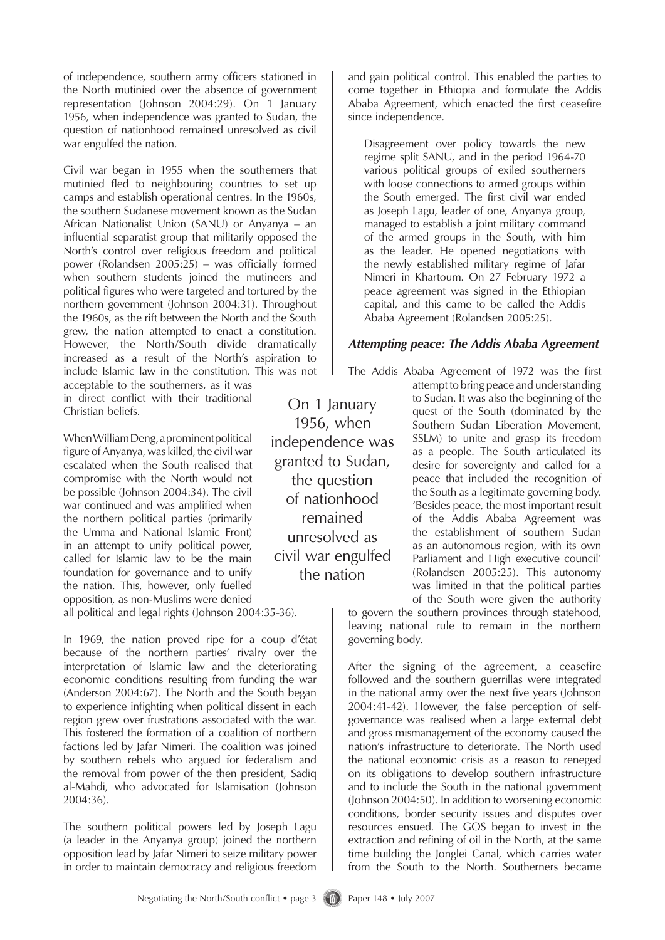of independence, southern army officers stationed in the North mutinied over the absence of government representation (Johnson 2004:29). On 1 January 1956, when independence was granted to Sudan, the question of nationhood remained unresolved as civil war engulfed the nation.

Civil war began in 1955 when the southerners that mutinied fled to neighbouring countries to set up camps and establish operational centres. In the 1960s, the southern Sudanese movement known as the Sudan African Nationalist Union (SANU) or Anyanya – an influential separatist group that militarily opposed the North's control over religious freedom and political power (Rolandsen 2005:25) – was officially formed when southern students joined the mutineers and political figures who were targeted and tortured by the northern government (Johnson 2004:31). Throughout the 1960s, as the rift between the North and the South grew, the nation attempted to enact a constitution. However, the North/South divide dramatically increased as a result of the North's aspiration to include Islamic law in the constitution. This was not acceptable to the southerners, as it was

in direct conflict with their traditional Christian beliefs.

When William Deng, a prominent political figure of Anyanya, was killed, the civil war escalated when the South realised that compromise with the North would not be possible (Johnson 2004:34). The civil war continued and was amplified when the northern political parties (primarily the Umma and National Islamic Front) in an attempt to unify political power, called for Islamic law to be the main foundation for governance and to unify the nation. This, however, only fuelled opposition, as non-Muslims were denied

all political and legal rights (Johnson 2004:35-36).

In 1969, the nation proved ripe for a coup d'état because of the northern parties' rivalry over the interpretation of Islamic law and the deteriorating economic conditions resulting from funding the war (Anderson 2004:67). The North and the South began to experience infighting when political dissent in each region grew over frustrations associated with the war. This fostered the formation of a coalition of northern factions led by Jafar Nimeri. The coalition was joined by southern rebels who argued for federalism and the removal from power of the then president, Sadiq al-Mahdi, who advocated for Islamisation (Johnson 2004:36).

The southern political powers led by Joseph Lagu (a leader in the Anyanya group) joined the northern opposition lead by Jafar Nimeri to seize military power in order to maintain democracy and religious freedom and gain political control. This enabled the parties to come together in Ethiopia and formulate the Addis Ababa Agreement, which enacted the first ceasefire since independence.

Disagreement over policy towards the new regime split SANU, and in the period 1964-70 various political groups of exiled southerners with loose connections to armed groups within the South emerged. The first civil war ended as Joseph Lagu, leader of one, Anyanya group, managed to establish a joint military command of the armed groups in the South, with him as the leader. He opened negotiations with the newly established military regime of Jafar Nimeri in Khartoum. On 27 February 1972 a peace agreement was signed in the Ethiopian capital, and this came to be called the Addis Ababa Agreement (Rolandsen 2005:25).

#### *Attempting peace: The Addis Ababa Agreement*

On 1 January 1956, when independence was granted to Sudan, the question of nationhood remained unresolved as civil war engulfed the nation

The Addis Ababa Agreement of 1972 was the first attempt to bring peace and understanding to Sudan. It was also the beginning of the quest of the South (dominated by the Southern Sudan Liberation Movement, SSLM) to unite and grasp its freedom as a people. The South articulated its desire for sovereignty and called for a peace that included the recognition of the South as a legitimate governing body. 'Besides peace, the most important result of the Addis Ababa Agreement was the establishment of southern Sudan as an autonomous region, with its own Parliament and High executive council' (Rolandsen 2005:25). This autonomy was limited in that the political parties of the South were given the authority

to govern the southern provinces through statehood, leaving national rule to remain in the northern governing body.

After the signing of the agreement, a ceasefire followed and the southern guerrillas were integrated in the national army over the next five years (Johnson 2004:41-42). However, the false perception of selfgovernance was realised when a large external debt and gross mismanagement of the economy caused the nation's infrastructure to deteriorate. The North used the national economic crisis as a reason to reneged on its obligations to develop southern infrastructure and to include the South in the national government (Johnson 2004:50). In addition to worsening economic conditions, border security issues and disputes over resources ensued. The GOS began to invest in the extraction and refining of oil in the North, at the same time building the Jonglei Canal, which carries water from the South to the North. Southerners became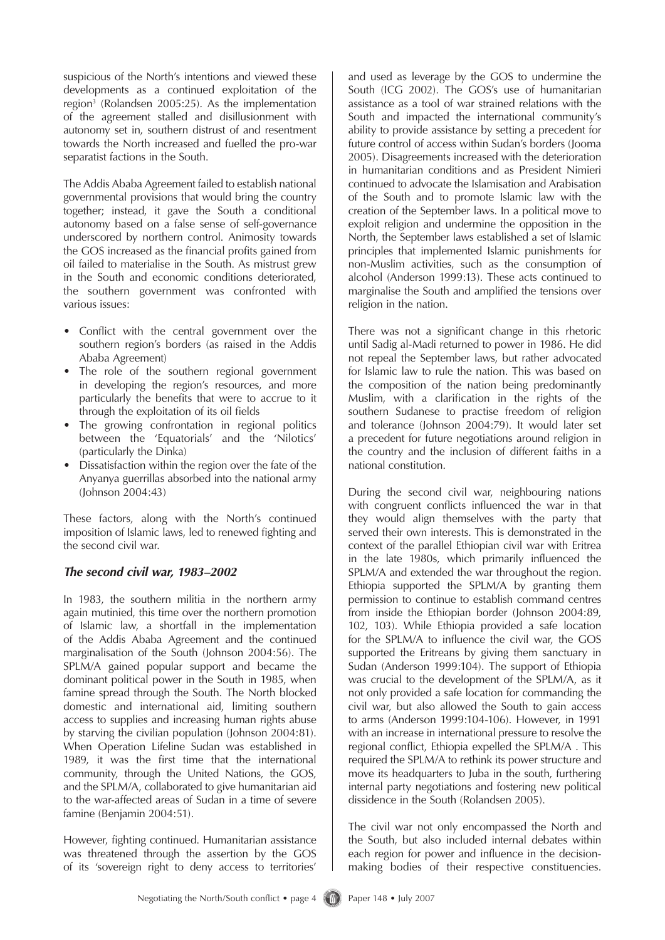suspicious of the North's intentions and viewed these developments as a continued exploitation of the region3 (Rolandsen 2005:25). As the implementation of the agreement stalled and disillusionment with autonomy set in, southern distrust of and resentment towards the North increased and fuelled the pro-war separatist factions in the South.

The Addis Ababa Agreement failed to establish national governmental provisions that would bring the country together; instead, it gave the South a conditional autonomy based on a false sense of self-governance underscored by northern control. Animosity towards the GOS increased as the financial profits gained from oil failed to materialise in the South. As mistrust grew in the South and economic conditions deteriorated, the southern government was confronted with various issues:

- Conflict with the central government over the southern region's borders (as raised in the Addis Ababa Agreement)
- The role of the southern regional government in developing the region's resources, and more particularly the benefits that were to accrue to it through the exploitation of its oil fields •
- The growing confrontation in regional politics between the 'Equatorials' and the 'Nilotics' (particularly the Dinka) •
- Dissatisfaction within the region over the fate of the Anyanya guerrillas absorbed into the national army (Johnson 2004:43) •

These factors, along with the North's continued imposition of Islamic laws, led to renewed fighting and the second civil war.

## *The second civil war, 1983–2002*

In 1983, the southern militia in the northern army again mutinied, this time over the northern promotion of Islamic law, a shortfall in the implementation of the Addis Ababa Agreement and the continued marginalisation of the South (Johnson 2004:56). The SPLM/A gained popular support and became the dominant political power in the South in 1985, when famine spread through the South. The North blocked domestic and international aid, limiting southern access to supplies and increasing human rights abuse by starving the civilian population (Johnson 2004:81). When Operation Lifeline Sudan was established in 1989, it was the first time that the international community, through the United Nations, the GOS, and the SPLM/A, collaborated to give humanitarian aid to the war-affected areas of Sudan in a time of severe famine (Benjamin 2004:51).

However, fighting continued. Humanitarian assistance was threatened through the assertion by the GOS of its 'sovereign right to deny access to territories'

and used as leverage by the GOS to undermine the South (ICG 2002). The GOS's use of humanitarian assistance as a tool of war strained relations with the South and impacted the international community's ability to provide assistance by setting a precedent for future control of access within Sudan's borders (Jooma 2005). Disagreements increased with the deterioration in humanitarian conditions and as President Nimieri continued to advocate the Islamisation and Arabisation of the South and to promote Islamic law with the creation of the September laws. In a political move to exploit religion and undermine the opposition in the North, the September laws established a set of Islamic principles that implemented Islamic punishments for non-Muslim activities, such as the consumption of alcohol (Anderson 1999:13). These acts continued to marginalise the South and amplified the tensions over religion in the nation.

There was not a significant change in this rhetoric until Sadig al-Madi returned to power in 1986. He did not repeal the September laws, but rather advocated for Islamic law to rule the nation. This was based on the composition of the nation being predominantly Muslim, with a clarification in the rights of the southern Sudanese to practise freedom of religion and tolerance (Johnson 2004:79). It would later set a precedent for future negotiations around religion in the country and the inclusion of different faiths in a national constitution.

During the second civil war, neighbouring nations with congruent conflicts influenced the war in that they would align themselves with the party that served their own interests. This is demonstrated in the context of the parallel Ethiopian civil war with Eritrea in the late 1980s, which primarily influenced the SPLM/A and extended the war throughout the region. Ethiopia supported the SPLM/A by granting them permission to continue to establish command centres from inside the Ethiopian border (Johnson 2004:89, 102, 103). While Ethiopia provided a safe location for the SPLM/A to influence the civil war, the GOS supported the Eritreans by giving them sanctuary in Sudan (Anderson 1999:104). The support of Ethiopia was crucial to the development of the SPLM/A, as it not only provided a safe location for commanding the civil war, but also allowed the South to gain access to arms (Anderson 1999:104-106). However, in 1991 with an increase in international pressure to resolve the regional conflict, Ethiopia expelled the SPLM/A . This required the SPLM/A to rethink its power structure and move its headquarters to Juba in the south, furthering internal party negotiations and fostering new political dissidence in the South (Rolandsen 2005).

The civil war not only encompassed the North and the South, but also included internal debates within each region for power and influence in the decisionmaking bodies of their respective constituencies.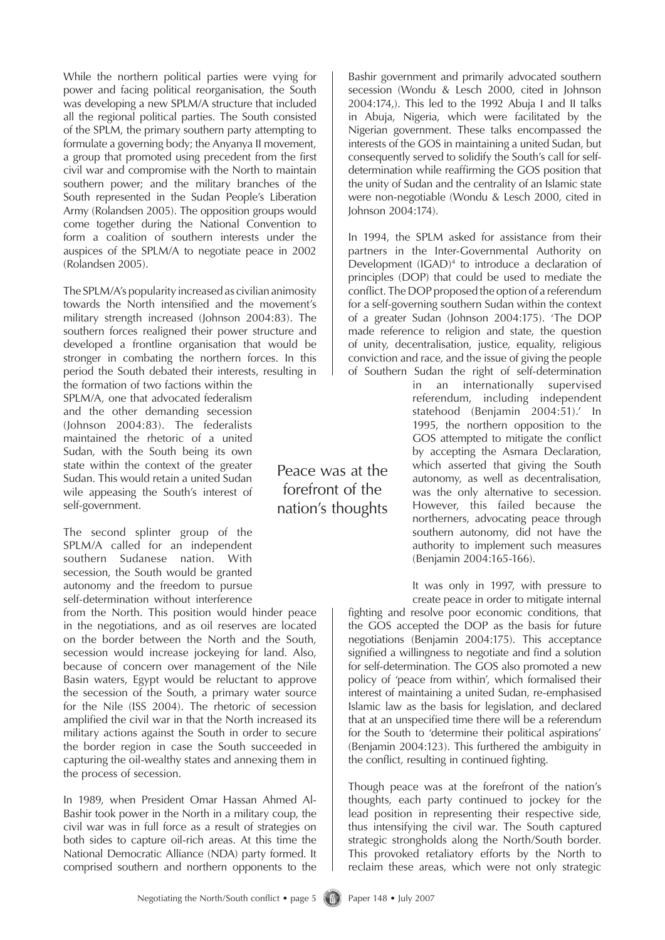While the northern political parties were vying for power and facing political reorganisation, the South was developing a new SPLM/A structure that included all the regional political parties. The South consisted of the SPLM, the primary southern party attempting to formulate a governing body; the Anyanya II movement, a group that promoted using precedent from the first civil war and compromise with the North to maintain southern power; and the military branches of the South represented in the Sudan People's Liberation Army (Rolandsen 2005). The opposition groups would come together during the National Convention to form a coalition of southern interests under the auspices of the SPLM/A to negotiate peace in 2002 (Rolandsen 2005).

The SPLM/A's popularity increased as civilian animosity towards the North intensified and the movement's military strength increased (Johnson 2004:83). The southern forces realigned their power structure and developed a frontline organisation that would be stronger in combating the northern forces. In this period the South debated their interests, resulting in

the formation of two factions within the SPLM/A, one that advocated federalism and the other demanding secession (Johnson 2004:83). The federalists maintained the rhetoric of a united Sudan, with the South being its own state within the context of the greater Sudan. This would retain a united Sudan wile appeasing the South's interest of self-government.

The second splinter group of the SPLM/A called for an independent southern Sudanese nation. With secession, the South would be granted autonomy and the freedom to pursue self-determination without interference

from the North. This position would hinder peace in the negotiations, and as oil reserves are located on the border between the North and the South, secession would increase jockeying for land. Also, because of concern over management of the Nile Basin waters, Egypt would be reluctant to approve the secession of the South, a primary water source for the Nile (ISS 2004). The rhetoric of secession amplified the civil war in that the North increased its military actions against the South in order to secure the border region in case the South succeeded in capturing the oil-wealthy states and annexing them in the process of secession.

In 1989, when President Omar Hassan Ahmed Al-Bashir took power in the North in a military coup, the civil war was in full force as a result of strategies on both sides to capture oil-rich areas. At this time the National Democratic Alliance (NDA) party formed. It comprised southern and northern opponents to the

Bashir government and primarily advocated southern secession (Wondu & Lesch 2000, cited in Johnson 2004:174,). This led to the 1992 Abuja I and II talks in Abuja, Nigeria, which were facilitated by the Nigerian government. These talks encompassed the interests of the GOS in maintaining a united Sudan, but consequently served to solidify the South's call for selfdetermination while reaffirming the GOS position that the unity of Sudan and the centrality of an Islamic state were non-negotiable (Wondu & Lesch 2000, cited in Johnson 2004:174).

In 1994, the SPLM asked for assistance from their partners in the Inter-Governmental Authority on Development (IGAD)<sup>4</sup> to introduce a declaration of principles (DOP) that could be used to mediate the conflict. The DOP proposed the option of a referendum for a self-governing southern Sudan within the context of a greater Sudan (Johnson 2004:175). 'The DOP made reference to religion and state, the question of unity, decentralisation, justice, equality, religious conviction and race, and the issue of giving the people of Southern Sudan the right of self-determination

in an internationally supervised referendum, including independent statehood (Benjamin 2004:51).' In 1995, the northern opposition to the GOS attempted to mitigate the conflict by accepting the Asmara Declaration, which asserted that giving the South autonomy, as well as decentralisation, was the only alternative to secession. However, this failed because the northerners, advocating peace through southern autonomy, did not have the authority to implement such measures (Benjamin 2004:165-166).

It was only in 1997, with pressure to create peace in order to mitigate internal

fighting and resolve poor economic conditions, that the GOS accepted the DOP as the basis for future negotiations (Benjamin 2004:175). This acceptance signified a willingness to negotiate and find a solution for self-determination. The GOS also promoted a new policy of 'peace from within', which formalised their interest of maintaining a united Sudan, re-emphasised Islamic law as the basis for legislation, and declared that at an unspecified time there will be a referendum for the South to 'determine their political aspirations' (Benjamin 2004:123). This furthered the ambiguity in the conflict, resulting in continued fighting.

Though peace was at the forefront of the nation's thoughts, each party continued to jockey for the lead position in representing their respective side, thus intensifying the civil war. The South captured strategic strongholds along the North/South border. This provoked retaliatory efforts by the North to reclaim these areas, which were not only strategic

Peace was at the forefront of the nation's thoughts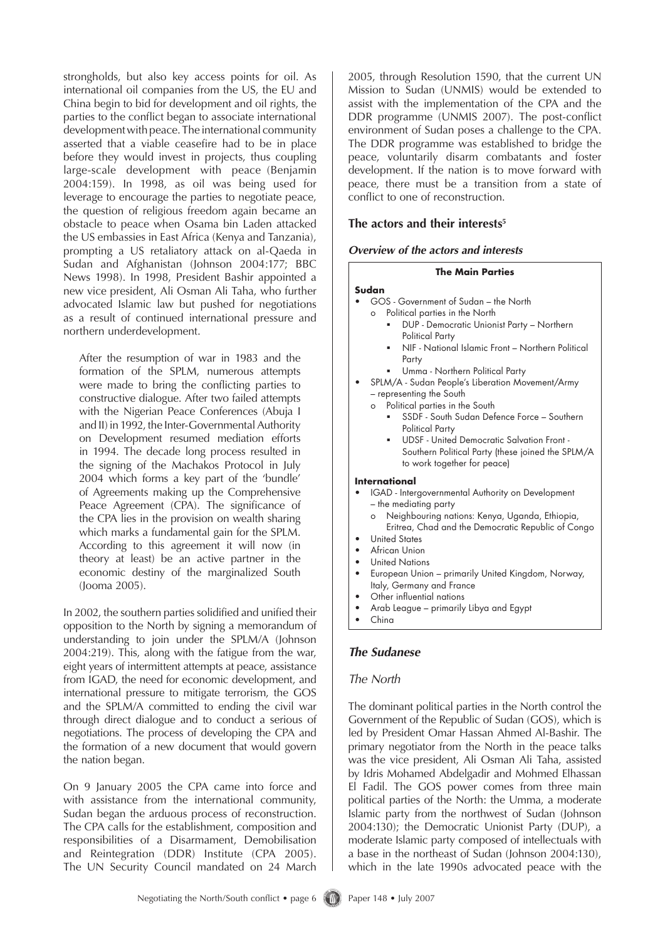strongholds, but also key access points for oil. As international oil companies from the US, the EU and China begin to bid for development and oil rights, the parties to the conflict began to associate international development with peace. The international community asserted that a viable ceasefire had to be in place before they would invest in projects, thus coupling large-scale development with peace (Benjamin 2004:159). In 1998, as oil was being used for leverage to encourage the parties to negotiate peace, the question of religious freedom again became an obstacle to peace when Osama bin Laden attacked the US embassies in East Africa (Kenya and Tanzania), prompting a US retaliatory attack on al-Qaeda in Sudan and Afghanistan (Johnson 2004:177; BBC News 1998). In 1998, President Bashir appointed a new vice president, Ali Osman Ali Taha, who further advocated Islamic law but pushed for negotiations as a result of continued international pressure and northern underdevelopment.

After the resumption of war in 1983 and the formation of the SPLM, numerous attempts were made to bring the conflicting parties to constructive dialogue. After two failed attempts with the Nigerian Peace Conferences (Abuja I and II) in 1992, the Inter-Governmental Authority on Development resumed mediation efforts in 1994. The decade long process resulted in the signing of the Machakos Protocol in July 2004 which forms a key part of the 'bundle' of Agreements making up the Comprehensive Peace Agreement (CPA). The significance of the CPA lies in the provision on wealth sharing which marks a fundamental gain for the SPLM. According to this agreement it will now (in theory at least) be an active partner in the economic destiny of the marginalized South (Jooma 2005).

In 2002, the southern parties solidified and unified their opposition to the North by signing a memorandum of understanding to join under the SPLM/A (Johnson 2004:219). This, along with the fatigue from the war, eight years of intermittent attempts at peace, assistance from IGAD, the need for economic development, and international pressure to mitigate terrorism, the GOS and the SPLM/A committed to ending the civil war through direct dialogue and to conduct a serious of negotiations. The process of developing the CPA and the formation of a new document that would govern the nation began.

On 9 January 2005 the CPA came into force and with assistance from the international community, Sudan began the arduous process of reconstruction. The CPA calls for the establishment, composition and responsibilities of a Disarmament, Demobilisation and Reintegration (DDR) Institute (CPA 2005). The UN Security Council mandated on 24 March

2005, through Resolution 1590, that the current UN Mission to Sudan (UNMIS) would be extended to assist with the implementation of the CPA and the DDR programme (UNMIS 2007). The post-conflict environment of Sudan poses a challenge to the CPA. The DDR programme was established to bridge the peace, voluntarily disarm combatants and foster development. If the nation is to move forward with peace, there must be a transition from a state of conflict to one of reconstruction.

#### **The actors and their interests5**

#### *Overview of the actors and interests*

#### **The Main Parties**

#### **Sudan**

•

- GOS Government of Sudan the North •
	- Political parties in the North o
		- DUP Democratic Unionist Party Northern Political Party ı
		- NIF National Islamic Front Northern Political Party ı
		- Umma Northern Political Party ı
- SPLM/A Sudan People's Liberation Movement/Army – representing the South
- Political parties in the South o
	- SSDF South Sudan Defence Force Southern Political Party F
	- UDSF United Democratic Salvation Front Southern Political Party (these joined the SPLM/A to work together for peace) ı

#### **International**

- IGAD Intergovernmental Authority on Development – the mediating party •
	- Neighbouring nations: Kenya, Uganda, Ethiopia, o
	- Eritrea, Chad and the Democratic Republic of Congo
- United States •
- African Union •
- United Nations •
- European Union primarily United Kingdom, Norway, Italy, Germany and France •
- Other influential nations •
- Arab League primarily Libya and Egypt •
- China •

## *The Sudanese*

#### *The North*

The dominant political parties in the North control the Government of the Republic of Sudan (GOS), which is led by President Omar Hassan Ahmed Al-Bashir. The primary negotiator from the North in the peace talks was the vice president, Ali Osman Ali Taha, assisted by Idris Mohamed Abdelgadir and Mohmed Elhassan El Fadil. The GOS power comes from three main political parties of the North: the Umma, a moderate Islamic party from the northwest of Sudan (Johnson 2004:130); the Democratic Unionist Party (DUP), a moderate Islamic party composed of intellectuals with a base in the northeast of Sudan (Johnson 2004:130), which in the late 1990s advocated peace with the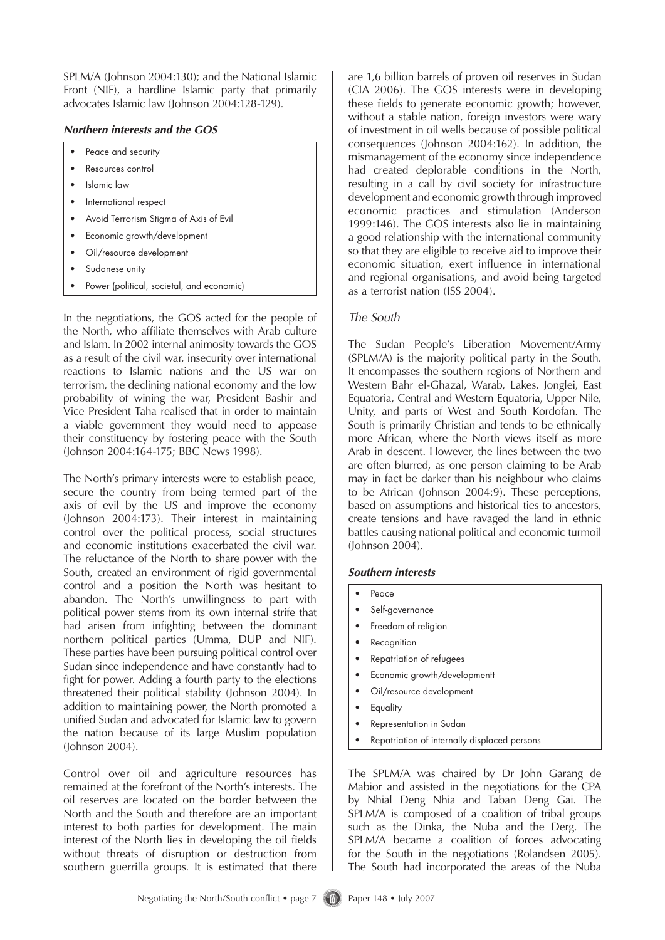SPLM/A (Johnson 2004:130); and the National Islamic Front (NIF), a hardline Islamic party that primarily advocates Islamic law (Johnson 2004:128-129).

#### *Northern interests and the GOS*

- Peace and security •
- Resources control •
- Islamic law •
- International respect •
- Avoid Terrorism Stigma of Axis of Evil •
- Economic growth/development •
- Oil/resource development •
- Sudanese unity •
- Power (political, societal, and economic) •

In the negotiations, the GOS acted for the people of the North, who affiliate themselves with Arab culture and Islam. In 2002 internal animosity towards the GOS as a result of the civil war, insecurity over international reactions to Islamic nations and the US war on terrorism, the declining national economy and the low probability of wining the war, President Bashir and Vice President Taha realised that in order to maintain a viable government they would need to appease their constituency by fostering peace with the South (Johnson 2004:164-175; BBC News 1998).

The North's primary interests were to establish peace, secure the country from being termed part of the axis of evil by the US and improve the economy (Johnson 2004:173). Their interest in maintaining control over the political process, social structures and economic institutions exacerbated the civil war. The reluctance of the North to share power with the South, created an environment of rigid governmental control and a position the North was hesitant to abandon. The North's unwillingness to part with political power stems from its own internal strife that had arisen from infighting between the dominant northern political parties (Umma, DUP and NIF). These parties have been pursuing political control over Sudan since independence and have constantly had to fight for power. Adding a fourth party to the elections threatened their political stability (Johnson 2004). In addition to maintaining power, the North promoted a unified Sudan and advocated for Islamic law to govern the nation because of its large Muslim population (Johnson 2004).

Control over oil and agriculture resources has remained at the forefront of the North's interests. The oil reserves are located on the border between the North and the South and therefore are an important interest to both parties for development. The main interest of the North lies in developing the oil fields without threats of disruption or destruction from southern guerrilla groups. It is estimated that there

are 1,6 billion barrels of proven oil reserves in Sudan (CIA 2006). The GOS interests were in developing these fields to generate economic growth; however, without a stable nation, foreign investors were wary of investment in oil wells because of possible political consequences (Johnson 2004:162). In addition, the mismanagement of the economy since independence had created deplorable conditions in the North, resulting in a call by civil society for infrastructure development and economic growth through improved economic practices and stimulation (Anderson 1999:146). The GOS interests also lie in maintaining a good relationship with the international community so that they are eligible to receive aid to improve their economic situation, exert influence in international and regional organisations, and avoid being targeted as a terrorist nation (ISS 2004).

#### *The South*

The Sudan People's Liberation Movement/Army (SPLM/A) is the majority political party in the South. It encompasses the southern regions of Northern and Western Bahr el-Ghazal, Warab, Lakes, Jonglei, East Equatoria, Central and Western Equatoria, Upper Nile, Unity, and parts of West and South Kordofan. The South is primarily Christian and tends to be ethnically more African, where the North views itself as more Arab in descent. However, the lines between the two are often blurred, as one person claiming to be Arab may in fact be darker than his neighbour who claims to be African (Johnson 2004:9). These perceptions, based on assumptions and historical ties to ancestors, create tensions and have ravaged the land in ethnic battles causing national political and economic turmoil (Johnson 2004).

#### *Southern interests*

- Peace •
- Self-governance •
- Freedom of religion •
- Recognition •
- Repatriation of refugees •
- Economic growth/developmentt •
- Oil/resource development •
- **Equality** •
- Representation in Sudan •
- Repatriation of internally displaced persons •

The SPLM/A was chaired by Dr John Garang de Mabior and assisted in the negotiations for the CPA by Nhial Deng Nhia and Taban Deng Gai. The SPLM/A is composed of a coalition of tribal groups such as the Dinka, the Nuba and the Derg. The SPLM/A became a coalition of forces advocating for the South in the negotiations (Rolandsen 2005). The South had incorporated the areas of the Nuba

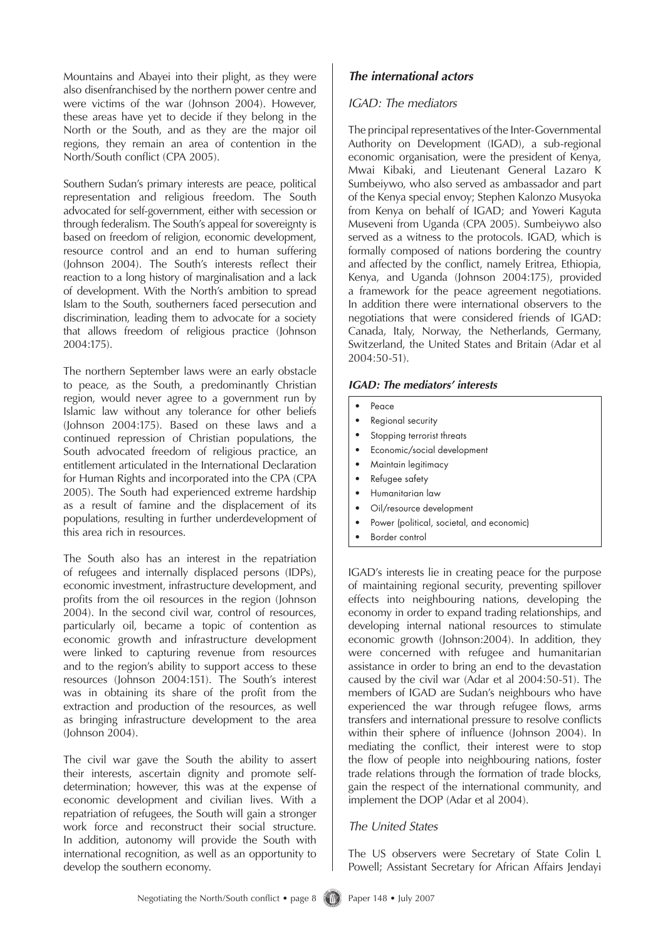Mountains and Abayei into their plight, as they were also disenfranchised by the northern power centre and were victims of the war (Johnson 2004). However, these areas have yet to decide if they belong in the North or the South, and as they are the major oil regions, they remain an area of contention in the North/South conflict (CPA 2005).

Southern Sudan's primary interests are peace, political representation and religious freedom. The South advocated for self-government, either with secession or through federalism. The South's appeal for sovereignty is based on freedom of religion, economic development, resource control and an end to human suffering (Johnson 2004). The South's interests reflect their reaction to a long history of marginalisation and a lack of development. With the North's ambition to spread Islam to the South, southerners faced persecution and discrimination, leading them to advocate for a society that allows freedom of religious practice (Johnson 2004:175).

The northern September laws were an early obstacle to peace, as the South, a predominantly Christian region, would never agree to a government run by Islamic law without any tolerance for other beliefs (Johnson 2004:175). Based on these laws and a continued repression of Christian populations, the South advocated freedom of religious practice, an entitlement articulated in the International Declaration for Human Rights and incorporated into the CPA (CPA 2005). The South had experienced extreme hardship as a result of famine and the displacement of its populations, resulting in further underdevelopment of this area rich in resources.

The South also has an interest in the repatriation of refugees and internally displaced persons (IDPs), economic investment, infrastructure development, and profits from the oil resources in the region (Johnson 2004). In the second civil war, control of resources, particularly oil, became a topic of contention as economic growth and infrastructure development were linked to capturing revenue from resources and to the region's ability to support access to these resources (Johnson 2004:151). The South's interest was in obtaining its share of the profit from the extraction and production of the resources, as well as bringing infrastructure development to the area (Johnson 2004).

The civil war gave the South the ability to assert their interests, ascertain dignity and promote selfdetermination; however, this was at the expense of economic development and civilian lives. With a repatriation of refugees, the South will gain a stronger work force and reconstruct their social structure. In addition, autonomy will provide the South with international recognition, as well as an opportunity to develop the southern economy.

## *The international actors*

#### *IGAD: The mediators*

The principal representatives of the Inter-Governmental Authority on Development (IGAD), a sub-regional economic organisation, were the president of Kenya, Mwai Kibaki, and Lieutenant General Lazaro K Sumbeiywo, who also served as ambassador and part of the Kenya special envoy; Stephen Kalonzo Musyoka from Kenya on behalf of IGAD; and Yoweri Kaguta Museveni from Uganda (CPA 2005). Sumbeiywo also served as a witness to the protocols. IGAD, which is formally composed of nations bordering the country and affected by the conflict, namely Eritrea, Ethiopia, Kenya, and Uganda (Johnson 2004:175), provided a framework for the peace agreement negotiations. In addition there were international observers to the negotiations that were considered friends of IGAD: Canada, Italy, Norway, the Netherlands, Germany, Switzerland, the United States and Britain (Adar et al 2004:50-51).

#### *IGAD: The mediators' interests*

- Peace •
- Regional security •
- Stopping terrorist threats •
- Economic/social development •
- Maintain legitimacy •
- Refugee safety •
- Humanitarian law •
- Oil/resource development •
- Power (political, societal, and economic) •
- Border control •

IGAD's interests lie in creating peace for the purpose of maintaining regional security, preventing spillover effects into neighbouring nations, developing the economy in order to expand trading relationships, and developing internal national resources to stimulate economic growth (Johnson:2004). In addition, they were concerned with refugee and humanitarian assistance in order to bring an end to the devastation caused by the civil war (Adar et al 2004:50-51). The members of IGAD are Sudan's neighbours who have experienced the war through refugee flows, arms transfers and international pressure to resolve conflicts within their sphere of influence (Johnson 2004). In mediating the conflict, their interest were to stop the flow of people into neighbouring nations, foster trade relations through the formation of trade blocks, gain the respect of the international community, and implement the DOP (Adar et al 2004).

## *The United States*

The US observers were Secretary of State Colin L Powell; Assistant Secretary for African Affairs Jendayi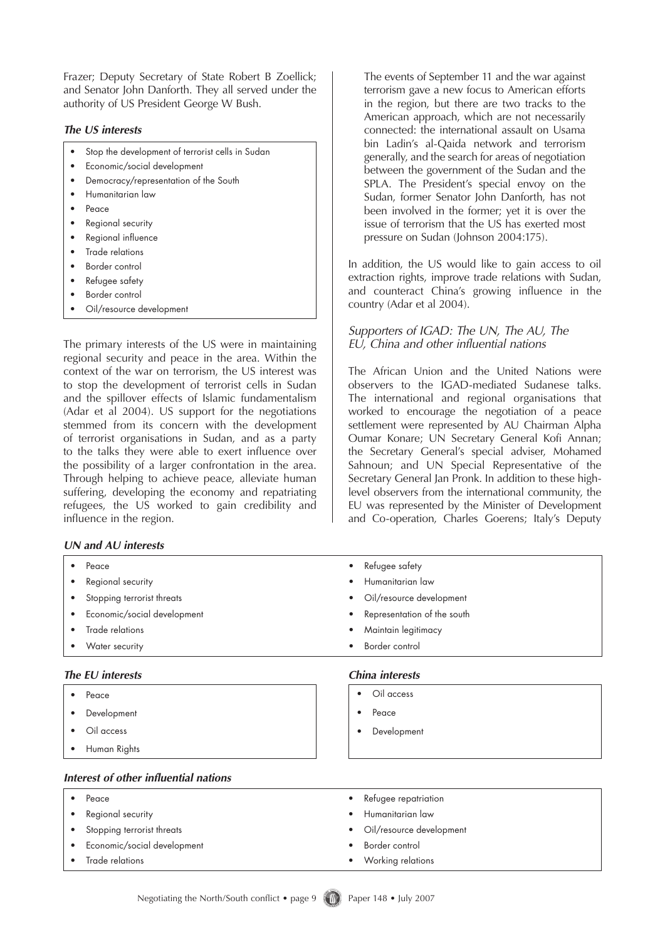Frazer; Deputy Secretary of State Robert B Zoellick; and Senator John Danforth. They all served under the authority of US President George W Bush.

#### *The US interests*

- Stop the development of terrorist cells in Sudan •
- Economic/social development •
- Democracy/representation of the South •
- Humanitarian law •
- Peace •
- Regional security •
- Regional influence •
- Trade relations •
- Border control •
- Refugee safety •
- Border control •
- Oil/resource development •

The primary interests of the US were in maintaining regional security and peace in the area. Within the context of the war on terrorism, the US interest was to stop the development of terrorist cells in Sudan and the spillover effects of Islamic fundamentalism (Adar et al 2004). US support for the negotiations stemmed from its concern with the development of terrorist organisations in Sudan, and as a party to the talks they were able to exert influence over the possibility of a larger confrontation in the area. Through helping to achieve peace, alleviate human suffering, developing the economy and repatriating refugees, the US worked to gain credibility and influence in the region.

#### *UN and AU interests*

The events of September 11 and the war against terrorism gave a new focus to American efforts in the region, but there are two tracks to the American approach, which are not necessarily connected: the international assault on Usama bin Ladin's al-Qaida network and terrorism generally, and the search for areas of negotiation between the government of the Sudan and the SPLA. The President's special envoy on the Sudan, former Senator John Danforth, has not been involved in the former; yet it is over the issue of terrorism that the US has exerted most pressure on Sudan (Johnson 2004:175).

In addition, the US would like to gain access to oil extraction rights, improve trade relations with Sudan, and counteract China's growing influence in the country (Adar et al 2004).

#### *Supporters of IGAD: The UN, The AU, The EU, China and other influential nations*

The African Union and the United Nations were observers to the IGAD-mediated Sudanese talks. The international and regional organisations that worked to encourage the negotiation of a peace settlement were represented by AU Chairman Alpha Oumar Konare; UN Secretary General Kofi Annan; the Secretary General's special adviser, Mohamed Sahnoun; and UN Special Representative of the Secretary General Jan Pronk. In addition to these highlevel observers from the international community, the EU was represented by the Minister of Development and Co-operation, Charles Goerens; Italy's Deputy

| Peace<br>$\bullet$                       | Refugee safety              |
|------------------------------------------|-----------------------------|
| Regional security<br>$\bullet$           | Humanitarian law            |
| Stopping terrorist threats<br>$\bullet$  | Oil/resource development    |
| Economic/social development<br>$\bullet$ | Representation of the south |
| Trade relations<br>$\bullet$             | Maintain legitimacy         |
| Water security<br>$\bullet$              | Border control              |
| The EU interests                         | China interests             |
| Peace<br>$\bullet$                       | Oil access<br>٠             |
| Development<br>$\bullet$                 | Peace<br>$\bullet$          |
| Oil access<br>$\bullet$                  | Development<br>٠            |
| Human Rights<br>$\bullet$                |                             |
| Interest of other influential nations    |                             |
| Peace                                    | Refugee repatriation        |
|                                          |                             |

- Regional security •
- Stopping terrorist threats •
- Economic/social development •
- Trade relations •
- Humanitarian law
- •
- Oil/resource development •
- Border control •
- Working relations •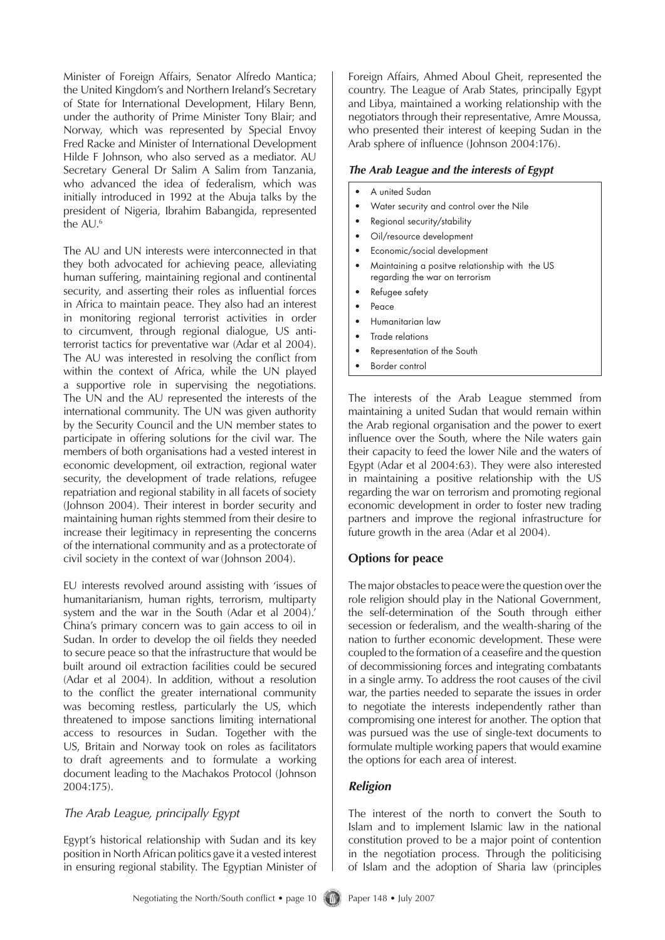Minister of Foreign Affairs, Senator Alfredo Mantica; the United Kingdom's and Northern Ireland's Secretary of State for International Development, Hilary Benn, under the authority of Prime Minister Tony Blair; and Norway, which was represented by Special Envoy Fred Racke and Minister of International Development Hilde F Johnson, who also served as a mediator. AU Secretary General Dr Salim A Salim from Tanzania, who advanced the idea of federalism, which was initially introduced in 1992 at the Abuja talks by the president of Nigeria, Ibrahim Babangida, represented the AU.6

The AU and UN interests were interconnected in that they both advocated for achieving peace, alleviating human suffering, maintaining regional and continental security, and asserting their roles as influential forces in Africa to maintain peace. They also had an interest in monitoring regional terrorist activities in order to circumvent, through regional dialogue, US antiterrorist tactics for preventative war (Adar et al 2004). The AU was interested in resolving the conflict from within the context of Africa, while the UN played a supportive role in supervising the negotiations. The UN and the AU represented the interests of the international community. The UN was given authority by the Security Council and the UN member states to participate in offering solutions for the civil war. The members of both organisations had a vested interest in economic development, oil extraction, regional water security, the development of trade relations, refugee repatriation and regional stability in all facets of society (Johnson 2004). Their interest in border security and maintaining human rights stemmed from their desire to increase their legitimacy in representing the concerns of the international community and as a protectorate of civil society in the context of war (Johnson 2004).

EU interests revolved around assisting with 'issues of humanitarianism, human rights, terrorism, multiparty system and the war in the South (Adar et al 2004).' China's primary concern was to gain access to oil in Sudan. In order to develop the oil fields they needed to secure peace so that the infrastructure that would be built around oil extraction facilities could be secured (Adar et al 2004). In addition, without a resolution to the conflict the greater international community was becoming restless, particularly the US, which threatened to impose sanctions limiting international access to resources in Sudan. Together with the US, Britain and Norway took on roles as facilitators to draft agreements and to formulate a working document leading to the Machakos Protocol (Johnson 2004:175).

## *The Arab League, principally Egypt*

Egypt's historical relationship with Sudan and its key position in North African politics gave it a vested interest in ensuring regional stability. The Egyptian Minister of Foreign Affairs, Ahmed Aboul Gheit, represented the country. The League of Arab States, principally Egypt and Libya, maintained a working relationship with the negotiators through their representative, Amre Moussa, who presented their interest of keeping Sudan in the Arab sphere of influence (Johnson 2004:176).

#### *The Arab League and the interests of Egypt*

- A united Sudan •
- Water security and control over the Nile •
- Regional security/stability •
- Oil/resource development •
- Economic/social development •
- Maintaining a positve relationship with the US regarding the war on terrorism •
- Refugee safety •
- Peace •
- Humanitarian law •
- Trade relations •
- Representation of the South •
- Border control •

The interests of the Arab League stemmed from maintaining a united Sudan that would remain within the Arab regional organisation and the power to exert influence over the South, where the Nile waters gain their capacity to feed the lower Nile and the waters of Egypt (Adar et al 2004:63). They were also interested in maintaining a positive relationship with the US regarding the war on terrorism and promoting regional economic development in order to foster new trading partners and improve the regional infrastructure for future growth in the area (Adar et al 2004).

## **Options for peace**

The major obstacles to peace were the question over the role religion should play in the National Government, the self-determination of the South through either secession or federalism, and the wealth-sharing of the nation to further economic development. These were coupled to the formation of a ceasefire and the question of decommissioning forces and integrating combatants in a single army. To address the root causes of the civil war, the parties needed to separate the issues in order to negotiate the interests independently rather than compromising one interest for another. The option that was pursued was the use of single-text documents to formulate multiple working papers that would examine the options for each area of interest.

## *Religion*

The interest of the north to convert the South to Islam and to implement Islamic law in the national constitution proved to be a major point of contention in the negotiation process. Through the politicising of Islam and the adoption of Sharia law (principles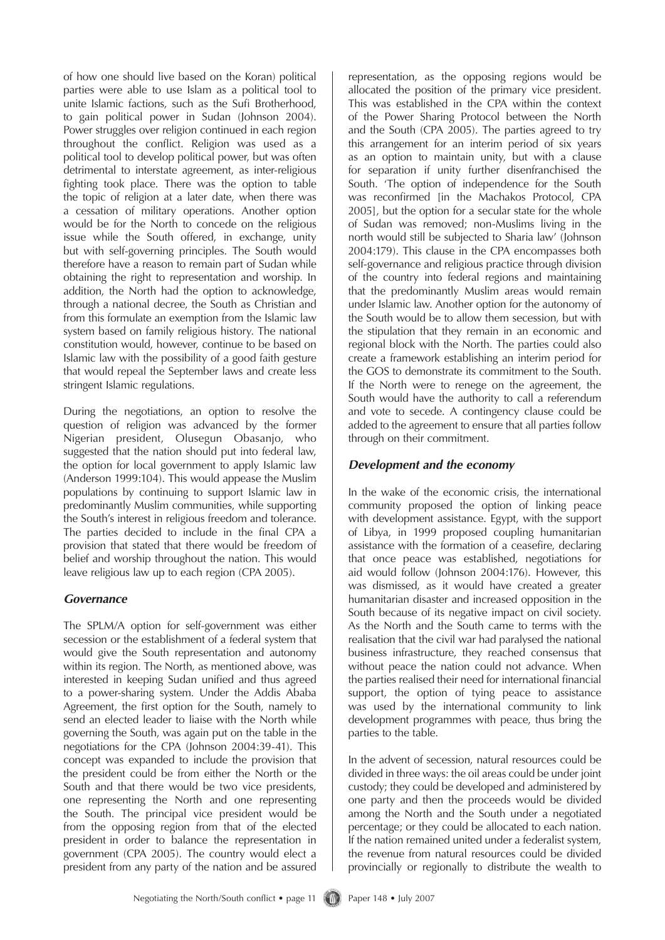of how one should live based on the Koran) political parties were able to use Islam as a political tool to unite Islamic factions, such as the Sufi Brotherhood, to gain political power in Sudan (Johnson 2004). Power struggles over religion continued in each region throughout the conflict. Religion was used as a political tool to develop political power, but was often detrimental to interstate agreement, as inter-religious fighting took place. There was the option to table the topic of religion at a later date, when there was a cessation of military operations. Another option would be for the North to concede on the religious issue while the South offered, in exchange, unity but with self-governing principles. The South would therefore have a reason to remain part of Sudan while obtaining the right to representation and worship. In addition, the North had the option to acknowledge, through a national decree, the South as Christian and from this formulate an exemption from the Islamic law system based on family religious history. The national constitution would, however, continue to be based on Islamic law with the possibility of a good faith gesture that would repeal the September laws and create less stringent Islamic regulations.

During the negotiations, an option to resolve the question of religion was advanced by the former Nigerian president, Olusegun Obasanjo, who suggested that the nation should put into federal law, the option for local government to apply Islamic law (Anderson 1999:104). This would appease the Muslim populations by continuing to support Islamic law in predominantly Muslim communities, while supporting the South's interest in religious freedom and tolerance. The parties decided to include in the final CPA a provision that stated that there would be freedom of belief and worship throughout the nation. This would leave religious law up to each region (CPA 2005).

#### *Governance*

The SPLM/A option for self-government was either secession or the establishment of a federal system that would give the South representation and autonomy within its region. The North, as mentioned above, was interested in keeping Sudan unified and thus agreed to a power-sharing system. Under the Addis Ababa Agreement, the first option for the South, namely to send an elected leader to liaise with the North while governing the South, was again put on the table in the negotiations for the CPA (Johnson 2004:39-41). This concept was expanded to include the provision that the president could be from either the North or the South and that there would be two vice presidents, one representing the North and one representing the South. The principal vice president would be from the opposing region from that of the elected president in order to balance the representation in government (CPA 2005). The country would elect a president from any party of the nation and be assured

representation, as the opposing regions would be allocated the position of the primary vice president. This was established in the CPA within the context of the Power Sharing Protocol between the North and the South (CPA 2005). The parties agreed to try this arrangement for an interim period of six years as an option to maintain unity, but with a clause for separation if unity further disenfranchised the South. 'The option of independence for the South was reconfirmed [in the Machakos Protocol, CPA 2005], but the option for a secular state for the whole of Sudan was removed; non-Muslims living in the north would still be subjected to Sharia law' (Johnson 2004:179). This clause in the CPA encompasses both self-governance and religious practice through division of the country into federal regions and maintaining that the predominantly Muslim areas would remain under Islamic law. Another option for the autonomy of the South would be to allow them secession, but with the stipulation that they remain in an economic and regional block with the North. The parties could also create a framework establishing an interim period for the GOS to demonstrate its commitment to the South. If the North were to renege on the agreement, the South would have the authority to call a referendum and vote to secede. A contingency clause could be added to the agreement to ensure that all parties follow through on their commitment.

## *Development and the economy*

In the wake of the economic crisis, the international community proposed the option of linking peace with development assistance. Egypt, with the support of Libya, in 1999 proposed coupling humanitarian assistance with the formation of a ceasefire, declaring that once peace was established, negotiations for aid would follow (Johnson 2004:176). However, this was dismissed, as it would have created a greater humanitarian disaster and increased opposition in the South because of its negative impact on civil society. As the North and the South came to terms with the realisation that the civil war had paralysed the national business infrastructure, they reached consensus that without peace the nation could not advance. When the parties realised their need for international financial support, the option of tying peace to assistance was used by the international community to link development programmes with peace, thus bring the parties to the table.

In the advent of secession, natural resources could be divided in three ways: the oil areas could be under joint custody; they could be developed and administered by one party and then the proceeds would be divided among the North and the South under a negotiated percentage; or they could be allocated to each nation. If the nation remained united under a federalist system, the revenue from natural resources could be divided provincially or regionally to distribute the wealth to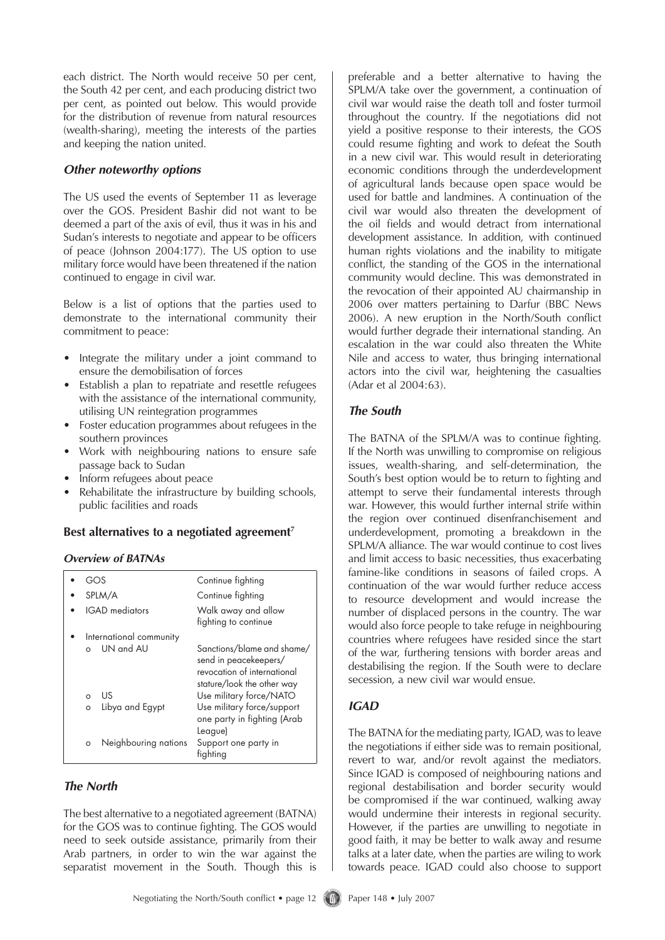each district. The North would receive 50 per cent, the South 42 per cent, and each producing district two per cent, as pointed out below. This would provide for the distribution of revenue from natural resources (wealth-sharing), meeting the interests of the parties and keeping the nation united.

#### *Other noteworthy options*

The US used the events of September 11 as leverage over the GOS. President Bashir did not want to be deemed a part of the axis of evil, thus it was in his and Sudan's interests to negotiate and appear to be officers of peace (Johnson 2004:177). The US option to use military force would have been threatened if the nation continued to engage in civil war.

Below is a list of options that the parties used to demonstrate to the international community their commitment to peace:

- Integrate the military under a joint command to ensure the demobilisation of forces
- Establish a plan to repatriate and resettle refugees with the assistance of the international community, utilising UN reintegration programmes
- Foster education programmes about refugees in the southern provinces •
- Work with neighbouring nations to ensure safe passage back to Sudan •
- Inform refugees about peace
- Rehabilitate the infrastructure by building schools, public facilities and roads

## **Best alternatives to a negotiated agreement7**

#### *Overview of BATNAs*

| GOS                   |                         | Continue fighting                                                                                                |  |
|-----------------------|-------------------------|------------------------------------------------------------------------------------------------------------------|--|
|                       | SPLM/A                  | Continue fighting                                                                                                |  |
| <b>IGAD</b> mediators |                         | Walk away and allow<br>fighting to continue                                                                      |  |
|                       | International community |                                                                                                                  |  |
|                       | UN and AU               | Sanctions/blame and shame/<br>send in peacekeepers/<br>revocation of international<br>stature/look the other way |  |
| $\Omega$              | US                      | Use military force/NATO                                                                                          |  |
| $\circ$               | Libya and Egypt         | Use military force/support<br>one party in fighting (Arab<br>League)                                             |  |
| O                     | Neighbouring nations    | Support one party in<br>fighting                                                                                 |  |

## *The North*

The best alternative to a negotiated agreement (BATNA) for the GOS was to continue fighting. The GOS would need to seek outside assistance, primarily from their Arab partners, in order to win the war against the separatist movement in the South. Though this is

preferable and a better alternative to having the SPLM/A take over the government, a continuation of civil war would raise the death toll and foster turmoil throughout the country. If the negotiations did not yield a positive response to their interests, the GOS could resume fighting and work to defeat the South in a new civil war. This would result in deteriorating economic conditions through the underdevelopment of agricultural lands because open space would be used for battle and landmines. A continuation of the civil war would also threaten the development of the oil fields and would detract from international development assistance. In addition, with continued human rights violations and the inability to mitigate conflict, the standing of the GOS in the international community would decline. This was demonstrated in the revocation of their appointed AU chairmanship in 2006 over matters pertaining to Darfur (BBC News 2006). A new eruption in the North/South conflict would further degrade their international standing. An escalation in the war could also threaten the White Nile and access to water, thus bringing international actors into the civil war, heightening the casualties (Adar et al 2004:63).

## *The South*

The BATNA of the SPLM/A was to continue fighting. If the North was unwilling to compromise on religious issues, wealth-sharing, and self-determination, the South's best option would be to return to fighting and attempt to serve their fundamental interests through war. However, this would further internal strife within the region over continued disenfranchisement and underdevelopment, promoting a breakdown in the SPLM/A alliance. The war would continue to cost lives and limit access to basic necessities, thus exacerbating famine-like conditions in seasons of failed crops. A continuation of the war would further reduce access to resource development and would increase the number of displaced persons in the country. The war would also force people to take refuge in neighbouring countries where refugees have resided since the start of the war, furthering tensions with border areas and destabilising the region. If the South were to declare secession, a new civil war would ensue.

## *IGAD*

The BATNA for the mediating party, IGAD, was to leave the negotiations if either side was to remain positional, revert to war, and/or revolt against the mediators. Since IGAD is composed of neighbouring nations and regional destabilisation and border security would be compromised if the war continued, walking away would undermine their interests in regional security. However, if the parties are unwilling to negotiate in good faith, it may be better to walk away and resume talks at a later date, when the parties are wiling to work towards peace. IGAD could also choose to support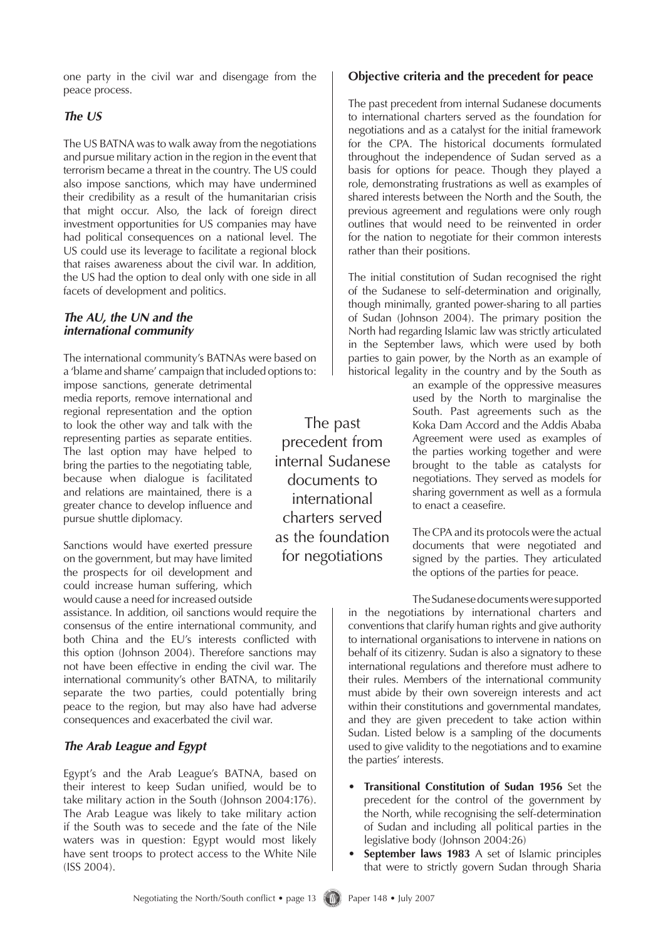one party in the civil war and disengage from the peace process.

## *The US*

The US BATNA was to walk away from the negotiations and pursue military action in the region in the event that terrorism became a threat in the country. The US could also impose sanctions, which may have undermined their credibility as a result of the humanitarian crisis that might occur. Also, the lack of foreign direct investment opportunities for US companies may have had political consequences on a national level. The US could use its leverage to facilitate a regional block that raises awareness about the civil war. In addition, the US had the option to deal only with one side in all facets of development and politics.

#### *The AU, the UN and the international community*

The international community's BATNAs were based on a 'blame and shame' campaign that included options to:

impose sanctions, generate detrimental media reports, remove international and regional representation and the option to look the other way and talk with the representing parties as separate entities. The last option may have helped to bring the parties to the negotiating table, because when dialogue is facilitated and relations are maintained, there is a greater chance to develop influence and pursue shuttle diplomacy.

Sanctions would have exerted pressure on the government, but may have limited the prospects for oil development and could increase human suffering, which would cause a need for increased outside

assistance. In addition, oil sanctions would require the consensus of the entire international community, and both China and the EU's interests conflicted with this option (Johnson 2004). Therefore sanctions may not have been effective in ending the civil war. The international community's other BATNA, to militarily separate the two parties, could potentially bring peace to the region, but may also have had adverse consequences and exacerbated the civil war.

## *The Arab League and Egypt*

Egypt's and the Arab League's BATNA, based on their interest to keep Sudan unified, would be to take military action in the South (Johnson 2004:176). The Arab League was likely to take military action if the South was to secede and the fate of the Nile waters was in question: Egypt would most likely have sent troops to protect access to the White Nile (ISS 2004).

The past precedent from internal Sudanese documents to international charters served as the foundation for negotiations

## **Objective criteria and the precedent for peace**

The past precedent from internal Sudanese documents to international charters served as the foundation for negotiations and as a catalyst for the initial framework for the CPA. The historical documents formulated throughout the independence of Sudan served as a basis for options for peace. Though they played a role, demonstrating frustrations as well as examples of shared interests between the North and the South, the previous agreement and regulations were only rough outlines that would need to be reinvented in order for the nation to negotiate for their common interests rather than their positions.

The initial constitution of Sudan recognised the right of the Sudanese to self-determination and originally, though minimally, granted power-sharing to all parties of Sudan (Johnson 2004). The primary position the North had regarding Islamic law was strictly articulated in the September laws, which were used by both parties to gain power, by the North as an example of historical legality in the country and by the South as

an example of the oppressive measures used by the North to marginalise the South. Past agreements such as the Koka Dam Accord and the Addis Ababa Agreement were used as examples of the parties working together and were brought to the table as catalysts for negotiations. They served as models for sharing government as well as a formula to enact a ceasefire.

The CPA and its protocols were the actual documents that were negotiated and signed by the parties. They articulated the options of the parties for peace.

The Sudanese documents were supported in the negotiations by international charters and conventions that clarify human rights and give authority to international organisations to intervene in nations on behalf of its citizenry. Sudan is also a signatory to these international regulations and therefore must adhere to their rules. Members of the international community must abide by their own sovereign interests and act within their constitutions and governmental mandates, and they are given precedent to take action within Sudan. Listed below is a sampling of the documents used to give validity to the negotiations and to examine the parties' interests.

- **Transitional Constitution of Sudan 1956** Set the precedent for the control of the government by the North, while recognising the self-determination of Sudan and including all political parties in the legislative body (Johnson 2004:26) **•**
- **September laws 1983** A set of Islamic principles that were to strictly govern Sudan through Sharia **•**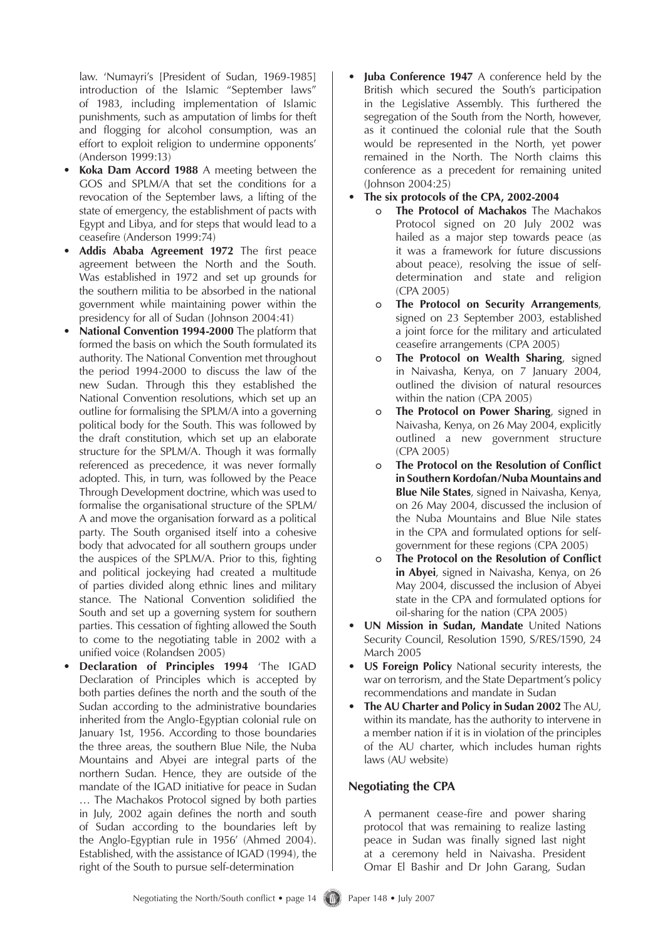law. 'Numayri's [President of Sudan, 1969-1985] introduction of the Islamic "September laws" of 1983, including implementation of Islamic punishments, such as amputation of limbs for theft and flogging for alcohol consumption, was an effort to exploit religion to undermine opponents' (Anderson 1999:13)

- **Koka Dam Accord 1988** A meeting between the GOS and SPLM/A that set the conditions for a revocation of the September laws, a lifting of the state of emergency, the establishment of pacts with Egypt and Libya, and for steps that would lead to a ceasefire (Anderson 1999:74) **•**
- **Addis Ababa Agreement 1972** The first peace agreement between the North and the South. Was established in 1972 and set up grounds for the southern militia to be absorbed in the national government while maintaining power within the presidency for all of Sudan (Johnson 2004:41) **•**
- **National Convention 1994-2000** The platform that formed the basis on which the South formulated its authority. The National Convention met throughout the period 1994-2000 to discuss the law of the new Sudan. Through this they established the National Convention resolutions, which set up an outline for formalising the SPLM/A into a governing political body for the South. This was followed by the draft constitution, which set up an elaborate structure for the SPLM/A. Though it was formally referenced as precedence, it was never formally adopted. This, in turn, was followed by the Peace Through Development doctrine, which was used to formalise the organisational structure of the SPLM/ A and move the organisation forward as a political party. The South organised itself into a cohesive body that advocated for all southern groups under the auspices of the SPLM/A. Prior to this, fighting and political jockeying had created a multitude of parties divided along ethnic lines and military stance. The National Convention solidified the South and set up a governing system for southern parties. This cessation of fighting allowed the South to come to the negotiating table in 2002 with a unified voice (Rolandsen 2005) **•**
- **Declaration of Principles 1994** 'The IGAD Declaration of Principles which is accepted by both parties defines the north and the south of the Sudan according to the administrative boundaries inherited from the Anglo-Egyptian colonial rule on January 1st, 1956. According to those boundaries the three areas, the southern Blue Nile, the Nuba Mountains and Abyei are integral parts of the northern Sudan. Hence, they are outside of the mandate of the IGAD initiative for peace in Sudan … The Machakos Protocol signed by both parties in July, 2002 again defines the north and south of Sudan according to the boundaries left by the Anglo-Egyptian rule in 1956' (Ahmed 2004). Established, with the assistance of IGAD (1994), the right of the South to pursue self-determination **•**
- **Juba Conference 1947** A conference held by the British which secured the South's participation in the Legislative Assembly. This furthered the segregation of the South from the North, however, as it continued the colonial rule that the South would be represented in the North, yet power remained in the North. The North claims this conference as a precedent for remaining united (Johnson 2004:25) **•**
- **The six protocols of the CPA, 2002-2004 •**
	- **The Protocol of Machakos** The Machakos Protocol signed on 20 July 2002 was hailed as a major step towards peace (as it was a framework for future discussions about peace), resolving the issue of selfdetermination and state and religion (CPA 2005) o
	- **The Protocol on Security Arrangements**, signed on 23 September 2003, established a joint force for the military and articulated ceasefire arrangements (CPA 2005) o
	- **o** The Protocol on Wealth Sharing, signed in Naivasha, Kenya, on 7 January 2004, outlined the division of natural resources within the nation (CPA 2005)
	- **The Protocol on Power Sharing**, signed in Naivasha, Kenya, on 26 May 2004, explicitly outlined a new government structure (CPA 2005) o
	- **The Protocol on the Resolution of Conflict in Southern Kordofan/Nuba Mountains and Blue Nile States**, signed in Naivasha, Kenya, on 26 May 2004, discussed the inclusion of the Nuba Mountains and Blue Nile states in the CPA and formulated options for selfgovernment for these regions (CPA 2005) o
	- **The Protocol on the Resolution of Conflict in Abyei**, signed in Naivasha, Kenya, on 26 May 2004, discussed the inclusion of Abyei state in the CPA and formulated options for oil-sharing for the nation (CPA 2005) o
- **UN Mission in Sudan, Mandate** United Nations Security Council, Resolution 1590, S/RES/1590, 24 March 2005 **•**
- **US Foreign Policy** National security interests, the **•** war on terrorism, and the State Department's policy recommendations and mandate in Sudan
- **The AU Charter and Policy in Sudan 2002** The AU, within its mandate, has the authority to intervene in a member nation if it is in violation of the principles of the AU charter, which includes human rights laws (AU website) **•**

## **Negotiating the CPA**

A permanent cease-fire and power sharing protocol that was remaining to realize lasting peace in Sudan was finally signed last night at a ceremony held in Naivasha. President Omar El Bashir and Dr John Garang, Sudan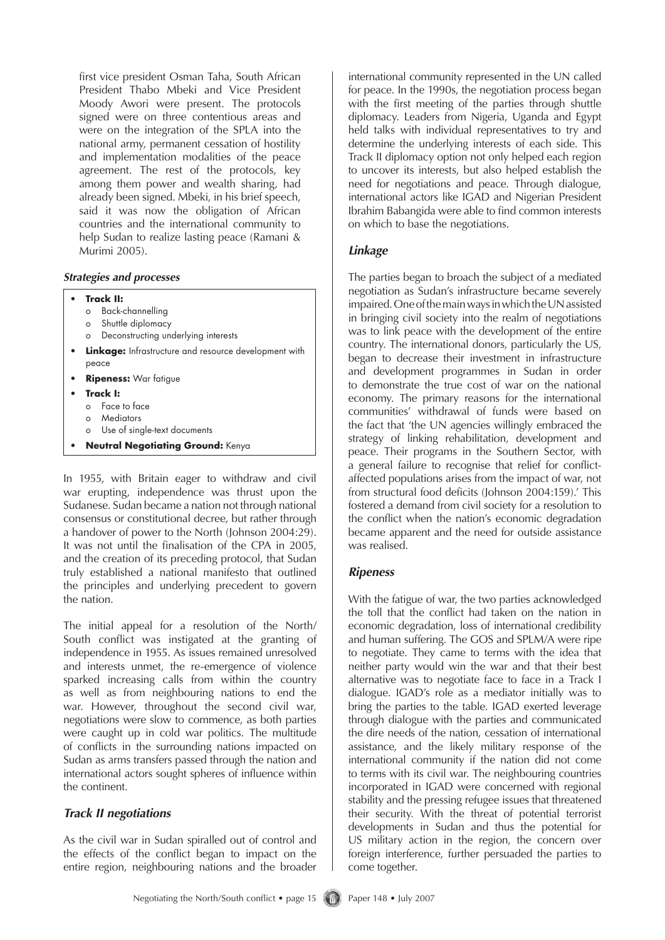first vice president Osman Taha, South African President Thabo Mbeki and Vice President Moody Awori were present. The protocols signed were on three contentious areas and were on the integration of the SPLA into the national army, permanent cessation of hostility and implementation modalities of the peace agreement. The rest of the protocols, key among them power and wealth sharing, had already been signed. Mbeki, in his brief speech, said it was now the obligation of African countries and the international community to help Sudan to realize lasting peace (Ramani & Murimi 2005).

#### *Strategies and processes*

- **Track II: •**
	- o Back-channelling
	- o Shuttle diplomacy
	- Deconstructing underlying interests o
- **Linkage:** Infrastructure and resource development with peace **•**
- **Ripeness:** War fatigue **•**
- **Track I: •**
	- Face to face o
	- **Mediators** o
	- Use of single-text documents o
- **Neutral Negotiating Ground:** Kenya **•**

In 1955, with Britain eager to withdraw and civil war erupting, independence was thrust upon the Sudanese. Sudan became a nation not through national consensus or constitutional decree, but rather through a handover of power to the North (Johnson 2004:29). It was not until the finalisation of the CPA in 2005, and the creation of its preceding protocol, that Sudan truly established a national manifesto that outlined the principles and underlying precedent to govern the nation.

The initial appeal for a resolution of the North/ South conflict was instigated at the granting of independence in 1955. As issues remained unresolved and interests unmet, the re-emergence of violence sparked increasing calls from within the country as well as from neighbouring nations to end the war. However, throughout the second civil war, negotiations were slow to commence, as both parties were caught up in cold war politics. The multitude of conflicts in the surrounding nations impacted on Sudan as arms transfers passed through the nation and international actors sought spheres of influence within the continent.

#### *Track II negotiations*

As the civil war in Sudan spiralled out of control and the effects of the conflict began to impact on the entire region, neighbouring nations and the broader

international community represented in the UN called for peace. In the 1990s, the negotiation process began with the first meeting of the parties through shuttle diplomacy. Leaders from Nigeria, Uganda and Egypt held talks with individual representatives to try and determine the underlying interests of each side. This Track II diplomacy option not only helped each region to uncover its interests, but also helped establish the need for negotiations and peace. Through dialogue, international actors like IGAD and Nigerian President Ibrahim Babangida were able to find common interests on which to base the negotiations.

#### *Linkage*

The parties began to broach the subject of a mediated negotiation as Sudan's infrastructure became severely impaired. One of the main ways in which the UN assisted in bringing civil society into the realm of negotiations was to link peace with the development of the entire country. The international donors, particularly the US, began to decrease their investment in infrastructure and development programmes in Sudan in order to demonstrate the true cost of war on the national economy. The primary reasons for the international communities' withdrawal of funds were based on the fact that 'the UN agencies willingly embraced the strategy of linking rehabilitation, development and peace. Their programs in the Southern Sector, with a general failure to recognise that relief for conflictaffected populations arises from the impact of war, not from structural food deficits (Johnson 2004:159).' This fostered a demand from civil society for a resolution to the conflict when the nation's economic degradation became apparent and the need for outside assistance was realised.

#### *Ripeness*

With the fatigue of war, the two parties acknowledged the toll that the conflict had taken on the nation in economic degradation, loss of international credibility and human suffering. The GOS and SPLM/A were ripe to negotiate. They came to terms with the idea that neither party would win the war and that their best alternative was to negotiate face to face in a Track I dialogue. IGAD's role as a mediator initially was to bring the parties to the table. IGAD exerted leverage through dialogue with the parties and communicated the dire needs of the nation, cessation of international assistance, and the likely military response of the international community if the nation did not come to terms with its civil war. The neighbouring countries incorporated in IGAD were concerned with regional stability and the pressing refugee issues that threatened their security. With the threat of potential terrorist developments in Sudan and thus the potential for US military action in the region, the concern over foreign interference, further persuaded the parties to come together.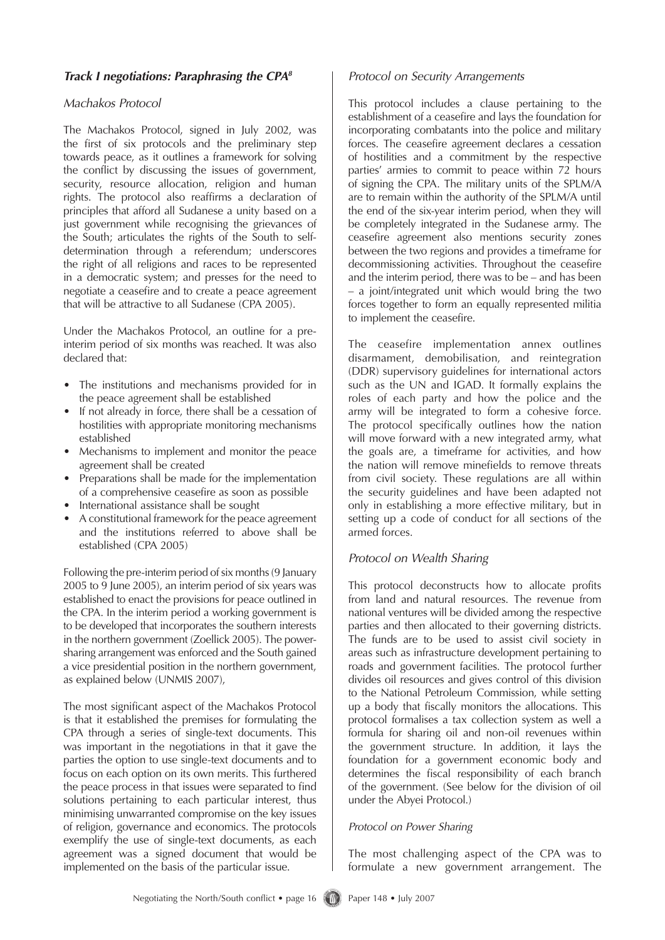## *Track I negotiations: Paraphrasing the CPA8*

#### *Machakos Protocol*

The Machakos Protocol, signed in July 2002, was the first of six protocols and the preliminary step towards peace, as it outlines a framework for solving the conflict by discussing the issues of government, security, resource allocation, religion and human rights. The protocol also reaffirms a declaration of principles that afford all Sudanese a unity based on a just government while recognising the grievances of the South; articulates the rights of the South to selfdetermination through a referendum; underscores the right of all religions and races to be represented in a democratic system; and presses for the need to negotiate a ceasefire and to create a peace agreement that will be attractive to all Sudanese (CPA 2005).

Under the Machakos Protocol, an outline for a preinterim period of six months was reached. It was also declared that:

- The institutions and mechanisms provided for in the peace agreement shall be established •
- If not already in force, there shall be a cessation of hostilities with appropriate monitoring mechanisms established •
- Mechanisms to implement and monitor the peace agreement shall be created •
- Preparations shall be made for the implementation of a comprehensive ceasefire as soon as possible
- International assistance shall be sought
- A constitutional framework for the peace agreement and the institutions referred to above shall be established (CPA 2005) •

Following the pre-interim period of six months (9 January 2005 to 9 June 2005), an interim period of six years was established to enact the provisions for peace outlined in the CPA. In the interim period a working government is to be developed that incorporates the southern interests in the northern government (Zoellick 2005). The powersharing arrangement was enforced and the South gained a vice presidential position in the northern government, as explained below (UNMIS 2007),

The most significant aspect of the Machakos Protocol is that it established the premises for formulating the CPA through a series of single-text documents. This was important in the negotiations in that it gave the parties the option to use single-text documents and to focus on each option on its own merits. This furthered the peace process in that issues were separated to find solutions pertaining to each particular interest, thus minimising unwarranted compromise on the key issues of religion, governance and economics. The protocols exemplify the use of single-text documents, as each agreement was a signed document that would be implemented on the basis of the particular issue.

#### *Protocol on Security Arrangements*

This protocol includes a clause pertaining to the establishment of a ceasefire and lays the foundation for incorporating combatants into the police and military forces. The ceasefire agreement declares a cessation of hostilities and a commitment by the respective parties' armies to commit to peace within 72 hours of signing the CPA. The military units of the SPLM/A are to remain within the authority of the SPLM/A until the end of the six-year interim period, when they will be completely integrated in the Sudanese army. The ceasefire agreement also mentions security zones between the two regions and provides a timeframe for decommissioning activities. Throughout the ceasefire and the interim period, there was to be – and has been – a joint/integrated unit which would bring the two forces together to form an equally represented militia to implement the ceasefire.

The ceasefire implementation annex outlines disarmament, demobilisation, and reintegration (DDR) supervisory guidelines for international actors such as the UN and IGAD. It formally explains the roles of each party and how the police and the army will be integrated to form a cohesive force. The protocol specifically outlines how the nation will move forward with a new integrated army, what the goals are, a timeframe for activities, and how the nation will remove minefields to remove threats from civil society. These regulations are all within the security guidelines and have been adapted not only in establishing a more effective military, but in setting up a code of conduct for all sections of the armed forces.

## *Protocol on Wealth Sharing*

This protocol deconstructs how to allocate profits from land and natural resources. The revenue from national ventures will be divided among the respective parties and then allocated to their governing districts. The funds are to be used to assist civil society in areas such as infrastructure development pertaining to roads and government facilities. The protocol further divides oil resources and gives control of this division to the National Petroleum Commission, while setting up a body that fiscally monitors the allocations. This protocol formalises a tax collection system as well a formula for sharing oil and non-oil revenues within the government structure. In addition, it lays the foundation for a government economic body and determines the fiscal responsibility of each branch of the government. (See below for the division of oil under the Abyei Protocol.)

#### *Protocol on Power Sharing*

The most challenging aspect of the CPA was to formulate a new government arrangement. The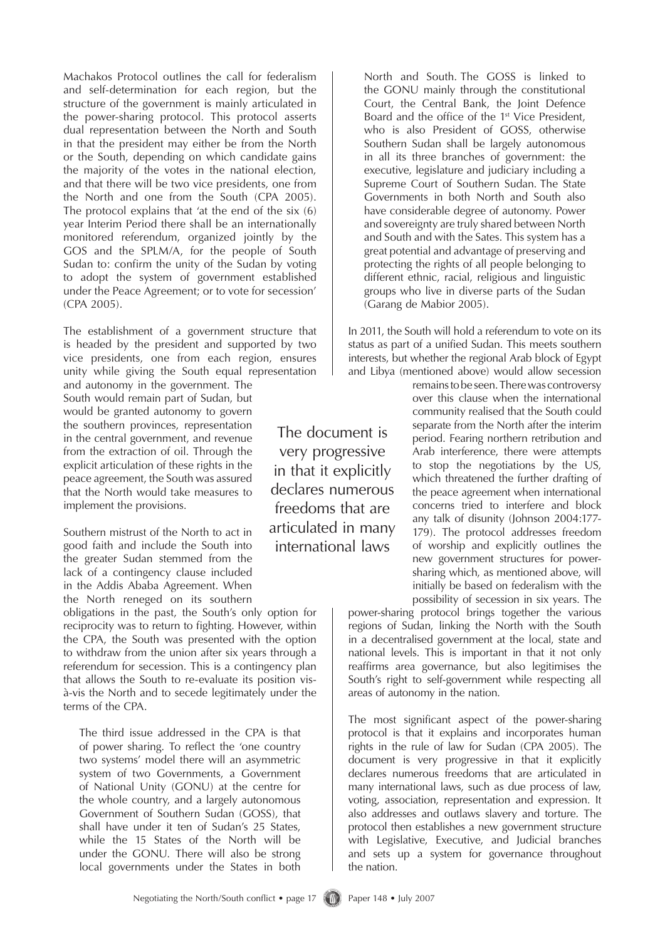Machakos Protocol outlines the call for federalism and self-determination for each region, but the structure of the government is mainly articulated in the power-sharing protocol. This protocol asserts dual representation between the North and South in that the president may either be from the North or the South, depending on which candidate gains the majority of the votes in the national election, and that there will be two vice presidents, one from the North and one from the South (CPA 2005). The protocol explains that 'at the end of the six (6) year Interim Period there shall be an internationally monitored referendum, organized jointly by the GOS and the SPLM/A, for the people of South Sudan to: confirm the unity of the Sudan by voting to adopt the system of government established under the Peace Agreement; or to vote for secession' (CPA 2005).

The establishment of a government structure that is headed by the president and supported by two vice presidents, one from each region, ensures unity while giving the South equal representation

and autonomy in the government. The South would remain part of Sudan, but would be granted autonomy to govern the southern provinces, representation in the central government, and revenue from the extraction of oil. Through the explicit articulation of these rights in the peace agreement, the South was assured that the North would take measures to implement the provisions.

Southern mistrust of the North to act in good faith and include the South into the greater Sudan stemmed from the lack of a contingency clause included in the Addis Ababa Agreement. When the North reneged on its southern

obligations in the past, the South's only option for reciprocity was to return to fighting. However, within the CPA, the South was presented with the option to withdraw from the union after six years through a referendum for secession. This is a contingency plan that allows the South to re-evaluate its position visà-vis the North and to secede legitimately under the terms of the CPA.

The third issue addressed in the CPA is that of power sharing. To reflect the 'one country two systems' model there will an asymmetric system of two Governments, a Government of National Unity (GONU) at the centre for the whole country, and a largely autonomous Government of Southern Sudan (GOSS), that shall have under it ten of Sudan's 25 States, while the 15 States of the North will be under the GONU. There will also be strong local governments under the States in both

The document is very progressive in that it explicitly declares numerous freedoms that are articulated in many international laws

North and South. The GOSS is linked to the GONU mainly through the constitutional Court, the Central Bank, the Joint Defence Board and the office of the 1st Vice President, who is also President of GOSS, otherwise Southern Sudan shall be largely autonomous in all its three branches of government: the executive, legislature and judiciary including a Supreme Court of Southern Sudan. The State Governments in both North and South also have considerable degree of autonomy. Power and sovereignty are truly shared between North and South and with the Sates. This system has a great potential and advantage of preserving and protecting the rights of all people belonging to different ethnic, racial, religious and linguistic groups who live in diverse parts of the Sudan (Garang de Mabior 2005).

In 2011, the South will hold a referendum to vote on its status as part of a unified Sudan. This meets southern interests, but whether the regional Arab block of Egypt and Libya (mentioned above) would allow secession

> remains to be seen. There was controversy over this clause when the international community realised that the South could separate from the North after the interim period. Fearing northern retribution and Arab interference, there were attempts to stop the negotiations by the US, which threatened the further drafting of the peace agreement when international concerns tried to interfere and block any talk of disunity (Johnson 2004:177- 179). The protocol addresses freedom of worship and explicitly outlines the new government structures for powersharing which, as mentioned above, will initially be based on federalism with the possibility of secession in six years. The

power-sharing protocol brings together the various regions of Sudan, linking the North with the South in a decentralised government at the local, state and national levels. This is important in that it not only reaffirms area governance, but also legitimises the South's right to self-government while respecting all areas of autonomy in the nation.

The most significant aspect of the power-sharing protocol is that it explains and incorporates human rights in the rule of law for Sudan (CPA 2005). The document is very progressive in that it explicitly declares numerous freedoms that are articulated in many international laws, such as due process of law, voting, association, representation and expression. It also addresses and outlaws slavery and torture. The protocol then establishes a new government structure with Legislative, Executive, and Judicial branches and sets up a system for governance throughout the nation.

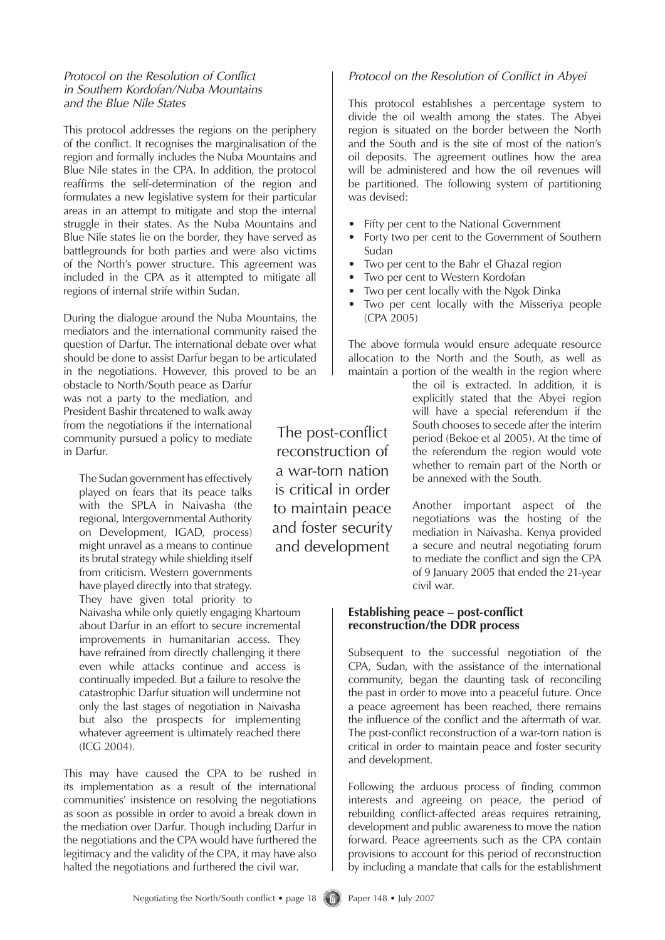#### *Protocol on the Resolution of Conflict in Southern Kordofan/Nuba Mountains and the Blue Nile States*

This protocol addresses the regions on the periphery of the conflict. It recognises the marginalisation of the region and formally includes the Nuba Mountains and Blue Nile states in the CPA. In addition, the protocol reaffirms the self-determination of the region and formulates a new legislative system for their particular areas in an attempt to mitigate and stop the internal struggle in their states. As the Nuba Mountains and Blue Nile states lie on the border, they have served as battlegrounds for both parties and were also victims of the North's power structure. This agreement was included in the CPA as it attempted to mitigate all regions of internal strife within Sudan.

During the dialogue around the Nuba Mountains, the mediators and the international community raised the question of Darfur. The international debate over what should be done to assist Darfur began to be articulated in the negotiations. However, this proved to be an

obstacle to North/South peace as Darfur was not a party to the mediation, and President Bashir threatened to walk away from the negotiations if the international community pursued a policy to mediate in Darfur.

The Sudan government has effectively played on fears that its peace talks with the SPLA in Naivasha (the regional, Intergovernmental Authority on Development, IGAD, process) might unravel as a means to continue its brutal strategy while shielding itself from criticism. Western governments have played directly into that strategy. They have given total priority to

Naivasha while only quietly engaging Khartoum about Darfur in an effort to secure incremental improvements in humanitarian access. They have refrained from directly challenging it there even while attacks continue and access is continually impeded. But a failure to resolve the catastrophic Darfur situation will undermine not only the last stages of negotiation in Naivasha but also the prospects for implementing whatever agreement is ultimately reached there  $(ICG 2004)$ .

This may have caused the CPA to be rushed in its implementation as a result of the international communities' insistence on resolving the negotiations as soon as possible in order to avoid a break down in the mediation over Darfur. Though including Darfur in the negotiations and the CPA would have furthered the legitimacy and the validity of the CPA, it may have also halted the negotiations and furthered the civil war.

The post-conflict reconstruction of a war-torn nation is critical in order to maintain peace and foster security and development

## *Protocol on the Resolution of Conflict in Abyei*

This protocol establishes a percentage system to divide the oil wealth among the states. The Abyei region is situated on the border between the North and the South and is the site of most of the nation's oil deposits. The agreement outlines how the area will be administered and how the oil revenues will be partitioned. The following system of partitioning was devised:

- Fifty per cent to the National Government •
- Forty two per cent to the Government of Southern Sudan •
- Two per cent to the Bahr el Ghazal region •
- Two per cent to Western Kordofan •
- Two per cent locally with the Ngok Dinka •
- Two per cent locally with the Misseriya people (CPA 2005) •

The above formula would ensure adequate resource allocation to the North and the South, as well as maintain a portion of the wealth in the region where

the oil is extracted. In addition, it is explicitly stated that the Abyei region will have a special referendum if the South chooses to secede after the interim period (Bekoe et al 2005). At the time of the referendum the region would vote whether to remain part of the North or be annexed with the South.

Another important aspect of the negotiations was the hosting of the mediation in Naivasha. Kenya provided a secure and neutral negotiating forum to mediate the conflict and sign the CPA of 9 January 2005 that ended the 21-year civil war.

#### **Establishing peace – post-conflict reconstruction/the DDR process**

Subsequent to the successful negotiation of the CPA, Sudan, with the assistance of the international community, began the daunting task of reconciling the past in order to move into a peaceful future. Once a peace agreement has been reached, there remains the influence of the conflict and the aftermath of war. The post-conflict reconstruction of a war-torn nation is critical in order to maintain peace and foster security and development.

Following the arduous process of finding common interests and agreeing on peace, the period of rebuilding conflict-affected areas requires retraining, development and public awareness to move the nation forward. Peace agreements such as the CPA contain provisions to account for this period of reconstruction by including a mandate that calls for the establishment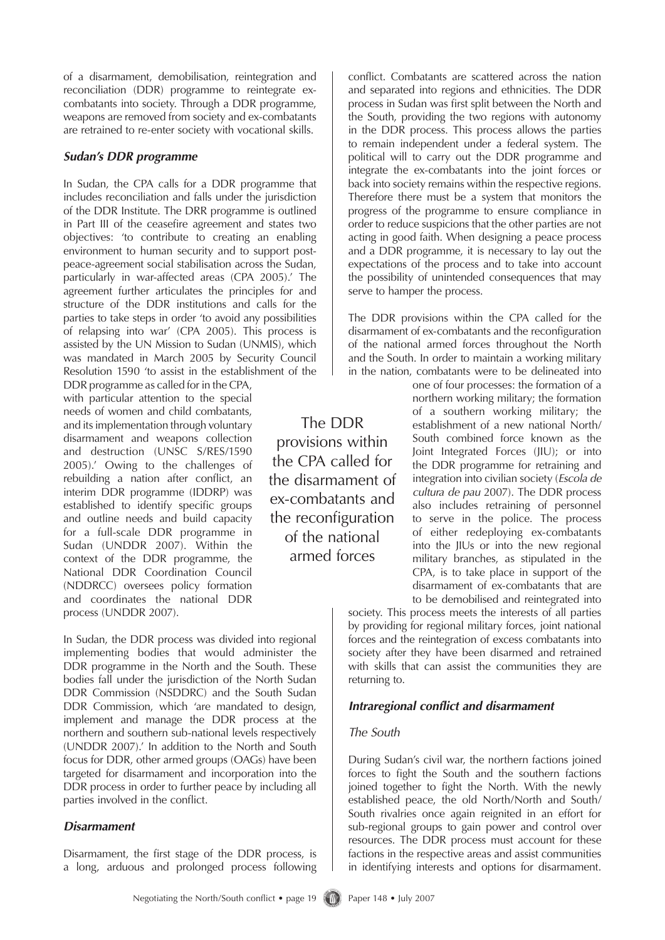of a disarmament, demobilisation, reintegration and reconciliation (DDR) programme to reintegrate excombatants into society. Through a DDR programme, weapons are removed from society and ex-combatants are retrained to re-enter society with vocational skills.

## *Sudan's DDR programme*

In Sudan, the CPA calls for a DDR programme that includes reconciliation and falls under the jurisdiction of the DDR Institute. The DRR programme is outlined in Part III of the ceasefire agreement and states two objectives: 'to contribute to creating an enabling environment to human security and to support postpeace-agreement social stabilisation across the Sudan, particularly in war-affected areas (CPA 2005).' The agreement further articulates the principles for and structure of the DDR institutions and calls for the parties to take steps in order 'to avoid any possibilities of relapsing into war' (CPA 2005). This process is assisted by the UN Mission to Sudan (UNMIS), which was mandated in March 2005 by Security Council Resolution 1590 'to assist in the establishment of the

DDR programme as called for in the CPA, with particular attention to the special needs of women and child combatants, and its implementation through voluntary disarmament and weapons collection and destruction (UNSC S/RES/1590 2005).' Owing to the challenges of rebuilding a nation after conflict, an interim DDR programme (IDDRP) was established to identify specific groups and outline needs and build capacity for a full-scale DDR programme in Sudan (UNDDR 2007). Within the context of the DDR programme, the National DDR Coordination Council (NDDRCC) oversees policy formation and coordinates the national DDR process (UNDDR 2007).

In Sudan, the DDR process was divided into regional implementing bodies that would administer the DDR programme in the North and the South. These bodies fall under the jurisdiction of the North Sudan DDR Commission (NSDDRC) and the South Sudan DDR Commission, which 'are mandated to design, implement and manage the DDR process at the northern and southern sub-national levels respectively (UNDDR 2007).' In addition to the North and South focus for DDR, other armed groups (OAGs) have been targeted for disarmament and incorporation into the DDR process in order to further peace by including all parties involved in the conflict.

## *Disarmament*

Disarmament, the first stage of the DDR process, is a long, arduous and prolonged process following

conflict. Combatants are scattered across the nation and separated into regions and ethnicities. The DDR process in Sudan was first split between the North and the South, providing the two regions with autonomy in the DDR process. This process allows the parties to remain independent under a federal system. The political will to carry out the DDR programme and integrate the ex-combatants into the joint forces or back into society remains within the respective regions. Therefore there must be a system that monitors the progress of the programme to ensure compliance in order to reduce suspicions that the other parties are not acting in good faith. When designing a peace process and a DDR programme, it is necessary to lay out the expectations of the process and to take into account the possibility of unintended consequences that may serve to hamper the process.

The DDR provisions within the CPA called for the disarmament of ex-combatants and the reconfiguration of the national armed forces throughout the North and the South. In order to maintain a working military in the nation, combatants were to be delineated into

> one of four processes: the formation of a northern working military; the formation of a southern working military; the establishment of a new national North/ South combined force known as the Joint Integrated Forces (JIU); or into the DDR programme for retraining and integration into civilian society (*Escola de cultura de pau* 2007). The DDR process also includes retraining of personnel to serve in the police. The process of either redeploying ex-combatants into the JIUs or into the new regional military branches, as stipulated in the CPA, is to take place in support of the disarmament of ex-combatants that are to be demobilised and reintegrated into

society. This process meets the interests of all parties by providing for regional military forces, joint national forces and the reintegration of excess combatants into society after they have been disarmed and retrained with skills that can assist the communities they are returning to.

## *Intraregional conflict and disarmament*

#### *The South*

The DDR provisions within the CPA called for the disarmament of ex-combatants and the reconfiguration of the national armed forces

> During Sudan's civil war, the northern factions joined forces to fight the South and the southern factions joined together to fight the North. With the newly established peace, the old North/North and South/ South rivalries once again reignited in an effort for sub-regional groups to gain power and control over resources. The DDR process must account for these factions in the respective areas and assist communities in identifying interests and options for disarmament.

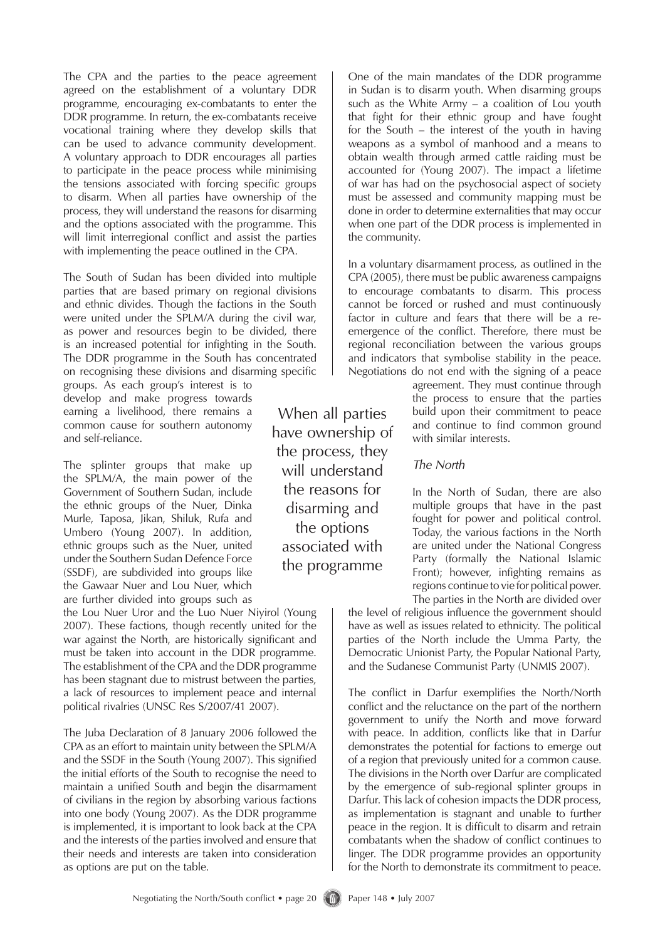The CPA and the parties to the peace agreement agreed on the establishment of a voluntary DDR programme, encouraging ex-combatants to enter the DDR programme. In return, the ex-combatants receive vocational training where they develop skills that can be used to advance community development. A voluntary approach to DDR encourages all parties to participate in the peace process while minimising the tensions associated with forcing specific groups to disarm. When all parties have ownership of the process, they will understand the reasons for disarming and the options associated with the programme. This will limit interregional conflict and assist the parties with implementing the peace outlined in the CPA.

The South of Sudan has been divided into multiple parties that are based primary on regional divisions and ethnic divides. Though the factions in the South were united under the SPLM/A during the civil war, as power and resources begin to be divided, there is an increased potential for infighting in the South. The DDR programme in the South has concentrated on recognising these divisions and disarming specific

groups. As each group's interest is to develop and make progress towards earning a livelihood, there remains a common cause for southern autonomy and self-reliance.

The splinter groups that make up the SPLM/A, the main power of the Government of Southern Sudan, include the ethnic groups of the Nuer, Dinka Murle, Taposa, Jikan, Shiluk, Rufa and Umbero (Young 2007). In addition, ethnic groups such as the Nuer, united under the Southern Sudan Defence Force (SSDF), are subdivided into groups like the Gawaar Nuer and Lou Nuer, which are further divided into groups such as

the Lou Nuer Uror and the Luo Nuer Niyirol (Young 2007). These factions, though recently united for the war against the North, are historically significant and must be taken into account in the DDR programme. The establishment of the CPA and the DDR programme has been stagnant due to mistrust between the parties, a lack of resources to implement peace and internal political rivalries (UNSC Res S/2007/41 2007).

The Juba Declaration of 8 January 2006 followed the CPA as an effort to maintain unity between the SPLM/A and the SSDF in the South (Young 2007). This signified the initial efforts of the South to recognise the need to maintain a unified South and begin the disarmament of civilians in the region by absorbing various factions into one body (Young 2007). As the DDR programme is implemented, it is important to look back at the CPA and the interests of the parties involved and ensure that their needs and interests are taken into consideration as options are put on the table.

When all parties have ownership of the process, they will understand the reasons for disarming and the options associated with the programme

One of the main mandates of the DDR programme in Sudan is to disarm youth. When disarming groups such as the White Army – a coalition of Lou youth that fight for their ethnic group and have fought for the South – the interest of the youth in having weapons as a symbol of manhood and a means to obtain wealth through armed cattle raiding must be accounted for (Young 2007). The impact a lifetime of war has had on the psychosocial aspect of society must be assessed and community mapping must be done in order to determine externalities that may occur when one part of the DDR process is implemented in the community.

In a voluntary disarmament process, as outlined in the CPA (2005), there must be public awareness campaigns to encourage combatants to disarm. This process cannot be forced or rushed and must continuously factor in culture and fears that there will be a reemergence of the conflict. Therefore, there must be regional reconciliation between the various groups and indicators that symbolise stability in the peace. Negotiations do not end with the signing of a peace

> agreement. They must continue through the process to ensure that the parties build upon their commitment to peace and continue to find common ground with similar interests.

#### *The North*

In the North of Sudan, there are also multiple groups that have in the past fought for power and political control. Today, the various factions in the North are united under the National Congress Party (formally the National Islamic Front); however, infighting remains as regions continue to vie for political power. The parties in the North are divided over

the level of religious influence the government should have as well as issues related to ethnicity. The political parties of the North include the Umma Party, the Democratic Unionist Party, the Popular National Party, and the Sudanese Communist Party (UNMIS 2007).

The conflict in Darfur exemplifies the North/North conflict and the reluctance on the part of the northern government to unify the North and move forward with peace. In addition, conflicts like that in Darfur demonstrates the potential for factions to emerge out of a region that previously united for a common cause. The divisions in the North over Darfur are complicated by the emergence of sub-regional splinter groups in Darfur. This lack of cohesion impacts the DDR process, as implementation is stagnant and unable to further peace in the region. It is difficult to disarm and retrain combatants when the shadow of conflict continues to linger. The DDR programme provides an opportunity for the North to demonstrate its commitment to peace.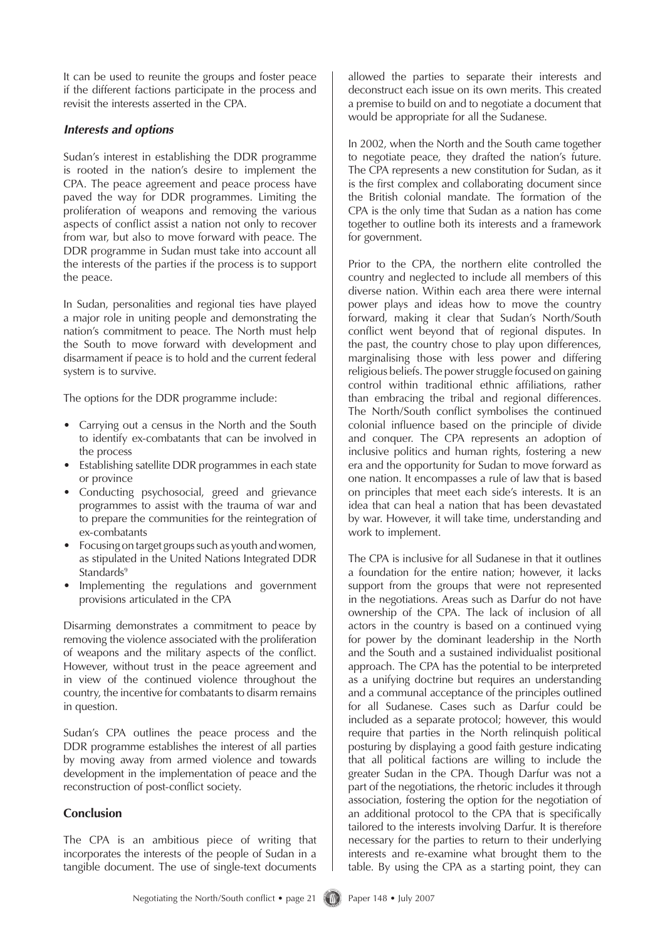It can be used to reunite the groups and foster peace if the different factions participate in the process and revisit the interests asserted in the CPA.

#### *Interests and options*

Sudan's interest in establishing the DDR programme is rooted in the nation's desire to implement the CPA. The peace agreement and peace process have paved the way for DDR programmes. Limiting the proliferation of weapons and removing the various aspects of conflict assist a nation not only to recover from war, but also to move forward with peace. The DDR programme in Sudan must take into account all the interests of the parties if the process is to support the peace.

In Sudan, personalities and regional ties have played a major role in uniting people and demonstrating the nation's commitment to peace. The North must help the South to move forward with development and disarmament if peace is to hold and the current federal system is to survive.

The options for the DDR programme include:

- Carrying out a census in the North and the South to identify ex-combatants that can be involved in the process
- Establishing satellite DDR programmes in each state or province
- Conducting psychosocial, greed and grievance programmes to assist with the trauma of war and to prepare the communities for the reintegration of ex-combatants •
- Focusing on target groups such as youth and women, as stipulated in the United Nations Integrated DDR Standards<sup>9</sup> •
- Implementing the regulations and government provisions articulated in the CPA

Disarming demonstrates a commitment to peace by removing the violence associated with the proliferation of weapons and the military aspects of the conflict. However, without trust in the peace agreement and in view of the continued violence throughout the country, the incentive for combatants to disarm remains in question.

Sudan's CPA outlines the peace process and the DDR programme establishes the interest of all parties by moving away from armed violence and towards development in the implementation of peace and the reconstruction of post-conflict society.

## **Conclusion**

The CPA is an ambitious piece of writing that incorporates the interests of the people of Sudan in a tangible document. The use of single-text documents allowed the parties to separate their interests and deconstruct each issue on its own merits. This created a premise to build on and to negotiate a document that would be appropriate for all the Sudanese.

In 2002, when the North and the South came together to negotiate peace, they drafted the nation's future. The CPA represents a new constitution for Sudan, as it is the first complex and collaborating document since the British colonial mandate. The formation of the CPA is the only time that Sudan as a nation has come together to outline both its interests and a framework for government.

Prior to the CPA, the northern elite controlled the country and neglected to include all members of this diverse nation. Within each area there were internal power plays and ideas how to move the country forward, making it clear that Sudan's North/South conflict went beyond that of regional disputes. In the past, the country chose to play upon differences, marginalising those with less power and differing religious beliefs. The power struggle focused on gaining control within traditional ethnic affiliations, rather than embracing the tribal and regional differences. The North/South conflict symbolises the continued colonial influence based on the principle of divide and conquer. The CPA represents an adoption of inclusive politics and human rights, fostering a new era and the opportunity for Sudan to move forward as one nation. It encompasses a rule of law that is based on principles that meet each side's interests. It is an idea that can heal a nation that has been devastated by war. However, it will take time, understanding and work to implement.

The CPA is inclusive for all Sudanese in that it outlines a foundation for the entire nation; however, it lacks support from the groups that were not represented in the negotiations. Areas such as Darfur do not have ownership of the CPA. The lack of inclusion of all actors in the country is based on a continued vying for power by the dominant leadership in the North and the South and a sustained individualist positional approach. The CPA has the potential to be interpreted as a unifying doctrine but requires an understanding and a communal acceptance of the principles outlined for all Sudanese. Cases such as Darfur could be included as a separate protocol; however, this would require that parties in the North relinquish political posturing by displaying a good faith gesture indicating that all political factions are willing to include the greater Sudan in the CPA. Though Darfur was not a part of the negotiations, the rhetoric includes it through association, fostering the option for the negotiation of an additional protocol to the CPA that is specifically tailored to the interests involving Darfur. It is therefore necessary for the parties to return to their underlying interests and re-examine what brought them to the table. By using the CPA as a starting point, they can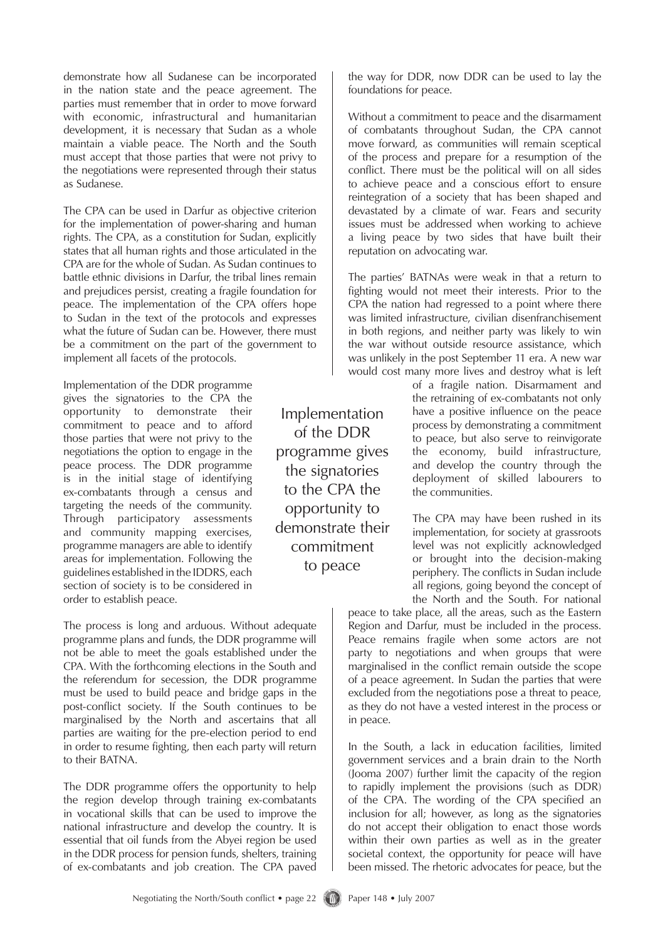demonstrate how all Sudanese can be incorporated in the nation state and the peace agreement. The parties must remember that in order to move forward with economic, infrastructural and humanitarian development, it is necessary that Sudan as a whole maintain a viable peace. The North and the South must accept that those parties that were not privy to the negotiations were represented through their status as Sudanese.

The CPA can be used in Darfur as objective criterion for the implementation of power-sharing and human rights. The CPA, as a constitution for Sudan, explicitly states that all human rights and those articulated in the CPA are for the whole of Sudan. As Sudan continues to battle ethnic divisions in Darfur, the tribal lines remain and prejudices persist, creating a fragile foundation for peace. The implementation of the CPA offers hope to Sudan in the text of the protocols and expresses what the future of Sudan can be. However, there must be a commitment on the part of the government to implement all facets of the protocols.

Implementation of the DDR programme gives the signatories to the CPA the opportunity to demonstrate their commitment to peace and to afford those parties that were not privy to the negotiations the option to engage in the peace process. The DDR programme is in the initial stage of identifying ex-combatants through a census and targeting the needs of the community. Through participatory assessments and community mapping exercises, programme managers are able to identify areas for implementation. Following the guidelines established in the IDDRS, each section of society is to be considered in order to establish peace.

The process is long and arduous. Without adequate programme plans and funds, the DDR programme will not be able to meet the goals established under the CPA. With the forthcoming elections in the South and the referendum for secession, the DDR programme must be used to build peace and bridge gaps in the post-conflict society. If the South continues to be marginalised by the North and ascertains that all parties are waiting for the pre-election period to end in order to resume fighting, then each party will return to their BATNA.

The DDR programme offers the opportunity to help the region develop through training ex-combatants in vocational skills that can be used to improve the national infrastructure and develop the country. It is essential that oil funds from the Abyei region be used in the DDR process for pension funds, shelters, training of ex-combatants and job creation. The CPA paved

Implementation of the DDR programme gives the signatories to the CPA the opportunity to demonstrate their commitment to peace

the way for DDR, now DDR can be used to lay the foundations for peace.

Without a commitment to peace and the disarmament of combatants throughout Sudan, the CPA cannot move forward, as communities will remain sceptical of the process and prepare for a resumption of the conflict. There must be the political will on all sides to achieve peace and a conscious effort to ensure reintegration of a society that has been shaped and devastated by a climate of war. Fears and security issues must be addressed when working to achieve a living peace by two sides that have built their reputation on advocating war.

The parties' BATNAs were weak in that a return to fighting would not meet their interests. Prior to the CPA the nation had regressed to a point where there was limited infrastructure, civilian disenfranchisement in both regions, and neither party was likely to win the war without outside resource assistance, which was unlikely in the post September 11 era. A new war would cost many more lives and destroy what is left

of a fragile nation. Disarmament and the retraining of ex-combatants not only have a positive influence on the peace process by demonstrating a commitment to peace, but also serve to reinvigorate the economy, build infrastructure, and develop the country through the deployment of skilled labourers to the communities.

The CPA may have been rushed in its implementation, for society at grassroots level was not explicitly acknowledged or brought into the decision-making periphery. The conflicts in Sudan include all regions, going beyond the concept of the North and the South. For national

peace to take place, all the areas, such as the Eastern Region and Darfur, must be included in the process. Peace remains fragile when some actors are not party to negotiations and when groups that were marginalised in the conflict remain outside the scope of a peace agreement. In Sudan the parties that were excluded from the negotiations pose a threat to peace, as they do not have a vested interest in the process or in peace.

In the South, a lack in education facilities, limited government services and a brain drain to the North (Jooma 2007) further limit the capacity of the region to rapidly implement the provisions (such as DDR) of the CPA. The wording of the CPA specified an inclusion for all; however, as long as the signatories do not accept their obligation to enact those words within their own parties as well as in the greater societal context, the opportunity for peace will have been missed. The rhetoric advocates for peace, but the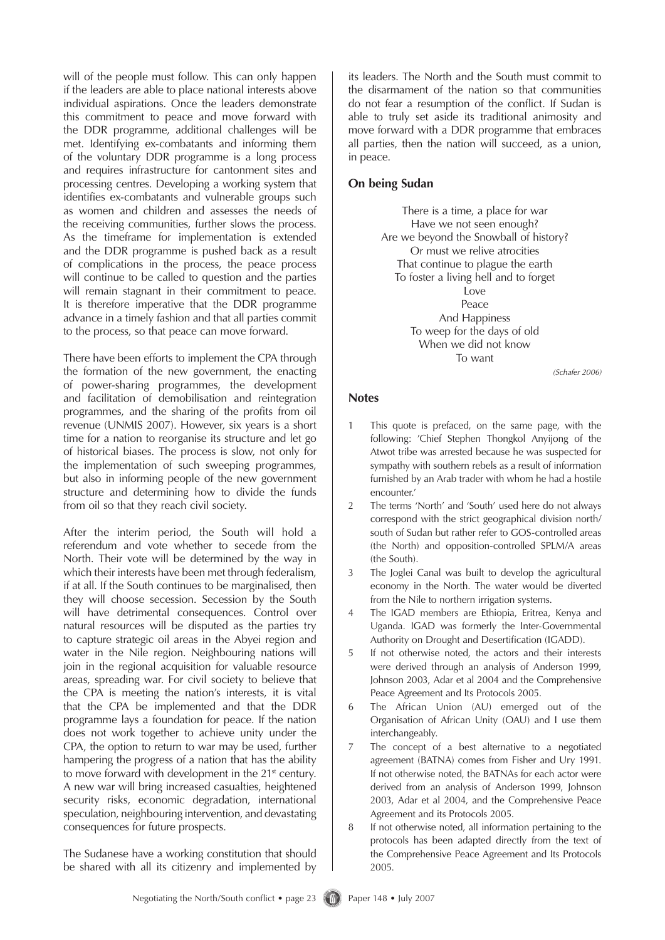will of the people must follow. This can only happen if the leaders are able to place national interests above individual aspirations. Once the leaders demonstrate this commitment to peace and move forward with the DDR programme, additional challenges will be met. Identifying ex-combatants and informing them of the voluntary DDR programme is a long process and requires infrastructure for cantonment sites and processing centres. Developing a working system that identifies ex-combatants and vulnerable groups such as women and children and assesses the needs of the receiving communities, further slows the process. As the timeframe for implementation is extended and the DDR programme is pushed back as a result of complications in the process, the peace process will continue to be called to question and the parties will remain stagnant in their commitment to peace. It is therefore imperative that the DDR programme advance in a timely fashion and that all parties commit to the process, so that peace can move forward.

There have been efforts to implement the CPA through the formation of the new government, the enacting of power-sharing programmes, the development and facilitation of demobilisation and reintegration programmes, and the sharing of the profits from oil revenue (UNMIS 2007). However, six years is a short time for a nation to reorganise its structure and let go of historical biases. The process is slow, not only for the implementation of such sweeping programmes, but also in informing people of the new government structure and determining how to divide the funds from oil so that they reach civil society.

After the interim period, the South will hold a referendum and vote whether to secede from the North. Their vote will be determined by the way in which their interests have been met through federalism, if at all. If the South continues to be marginalised, then they will choose secession. Secession by the South will have detrimental consequences. Control over natural resources will be disputed as the parties try to capture strategic oil areas in the Abyei region and water in the Nile region. Neighbouring nations will join in the regional acquisition for valuable resource areas, spreading war. For civil society to believe that the CPA is meeting the nation's interests, it is vital that the CPA be implemented and that the DDR programme lays a foundation for peace. If the nation does not work together to achieve unity under the CPA, the option to return to war may be used, further hampering the progress of a nation that has the ability to move forward with development in the 21<sup>st</sup> century. A new war will bring increased casualties, heightened security risks, economic degradation, international speculation, neighbouring intervention, and devastating consequences for future prospects.

The Sudanese have a working constitution that should be shared with all its citizenry and implemented by its leaders. The North and the South must commit to the disarmament of the nation so that communities do not fear a resumption of the conflict. If Sudan is able to truly set aside its traditional animosity and move forward with a DDR programme that embraces all parties, then the nation will succeed, as a union, in peace.

#### **On being Sudan**

There is a time, a place for war Have we not seen enough? Are we beyond the Snowball of history? Or must we relive atrocities That continue to plague the earth To foster a living hell and to forget Love Peace And Happiness To weep for the days of old When we did not know To want

*(Schafer 2006)*

#### **Notes**

- 1 This quote is prefaced, on the same page, with the following: 'Chief Stephen Thongkol Anyijong of the Atwot tribe was arrested because he was suspected for sympathy with southern rebels as a result of information furnished by an Arab trader with whom he had a hostile encounter.'
- 2 The terms 'North' and 'South' used here do not always correspond with the strict geographical division north/ south of Sudan but rather refer to GOS-controlled areas (the North) and opposition-controlled SPLM/A areas (the South).
- 3 The Joglei Canal was built to develop the agricultural economy in the North. The water would be diverted from the Nile to northern irrigation systems.
- 4 The IGAD members are Ethiopia, Eritrea, Kenya and Uganda. IGAD was formerly the Inter-Governmental Authority on Drought and Desertification (IGADD).
- 5 If not otherwise noted, the actors and their interests were derived through an analysis of Anderson 1999, Johnson 2003, Adar et al 2004 and the Comprehensive Peace Agreement and Its Protocols 2005.
- 6 The African Union (AU) emerged out of the Organisation of African Unity (OAU) and I use them interchangeably.
- 7 The concept of a best alternative to a negotiated agreement (BATNA) comes from Fisher and Ury 1991. If not otherwise noted, the BATNAs for each actor were derived from an analysis of Anderson 1999, Johnson 2003, Adar et al 2004, and the Comprehensive Peace Agreement and its Protocols 2005.
- 8 If not otherwise noted, all information pertaining to the protocols has been adapted directly from the text of the Comprehensive Peace Agreement and Its Protocols 2005.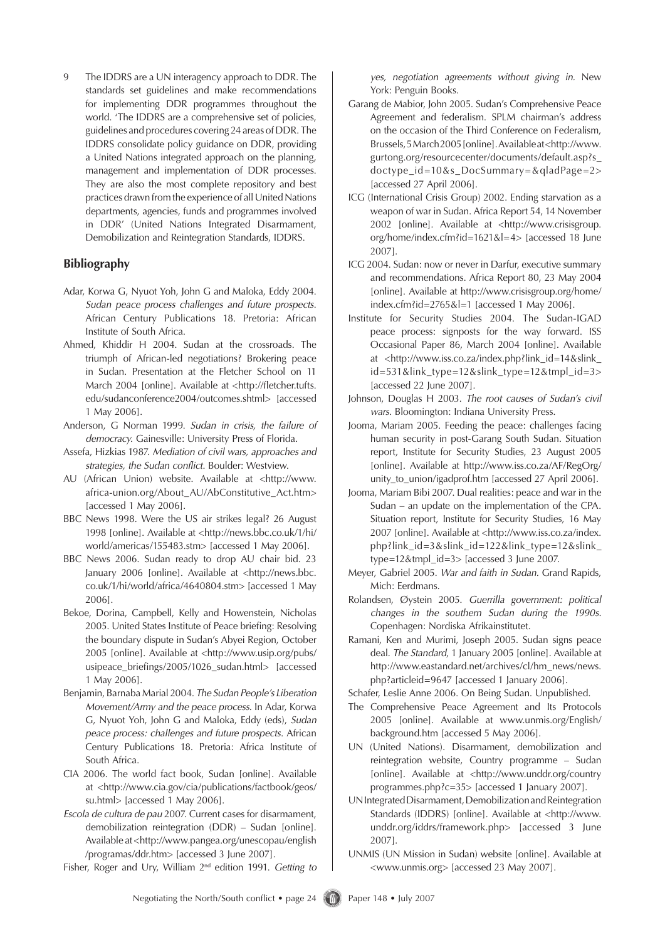9 The IDDRS are a UN interagency approach to DDR. The standards set guidelines and make recommendations for implementing DDR programmes throughout the world. 'The IDDRS are a comprehensive set of policies, guidelines and procedures covering 24 areas of DDR. The IDDRS consolidate policy guidance on DDR, providing a United Nations integrated approach on the planning, management and implementation of DDR processes. They are also the most complete repository and best practices drawn from the experience of all United Nations departments, agencies, funds and programmes involved in DDR' (United Nations Integrated Disarmament, Demobilization and Reintegration Standards, IDDRS.

#### **Bibliography**

- Adar, Korwa G, Nyuot Yoh, John G and Maloka, Eddy 2004. *Sudan peace process challenges and future prospects*. African Century Publications 18. Pretoria: African Institute of South Africa.
- Ahmed, Khiddir H 2004. Sudan at the crossroads. The triumph of African-led negotiations? Brokering peace in Sudan. Presentation at the Fletcher School on 11 March 2004 [online]. Available at <http://fletcher.tufts. edu/sudanconference2004/outcomes.shtml> [accessed 1 May 2006].
- Anderson, G Norman 1999. *Sudan in crisis, the failure of democracy.* Gainesville: University Press of Florida.
- Assefa, Hizkias 1987. *Mediation of civil wars, approaches and strategies, the Sudan conflict*. Boulder: Westview.
- AU (African Union) website. Available at <http://www. africa-union.org/About\_AU/AbConstitutive\_Act.htm> [accessed 1 May 2006].
- BBC News 1998. Were the US air strikes legal? 26 August 1998 [online]. Available at <http://news.bbc.co.uk/1/hi/ world/americas/155483.stm> [accessed 1 May 2006].
- BBC News 2006. Sudan ready to drop AU chair bid. 23 January 2006 [online]. Available at <http://news.bbc. co.uk/1/hi/world/africa/4640804.stm> [accessed 1 May 2006].
- Bekoe, Dorina, Campbell, Kelly and Howenstein, Nicholas 2005. United States Institute of Peace briefing: Resolving the boundary dispute in Sudan's Abyei Region, October 2005 [online]. Available at <http://www.usip.org/pubs/ usipeace\_briefings/2005/1026\_sudan.html> [accessed 1 May 2006].
- Benjamin, Barnaba Marial 2004. *The Sudan People's Liberation Movement/Army and the peace process.* In Adar, Korwa G, Nyuot Yoh, John G and Maloka, Eddy (eds), *Sudan peace process: challenges and future prospects*. African Century Publications 18. Pretoria: Africa Institute of South Africa.
- CIA 2006. The world fact book, Sudan [online]. Available at <http://www.cia.gov/cia/publications/factbook/geos/ su.html> [accessed 1 May 2006].
- *Escola de cultura de pau* 2007. Current cases for disarmament, demobilization reintegration (DDR) – Sudan [online]. Available at <http://www.pangea.org/unescopau/english /programas/ddr.htm> [accessed 3 June 2007].
- Fisher, Roger and Ury, William 2nd edition 1991. *Getting to*

*yes, negotiation agreements without giving in.* New York: Penguin Books.

- Garang de Mabior, John 2005. Sudan's Comprehensive Peace Agreement and federalism. SPLM chairman's address on the occasion of the Third Conference on Federalism, Brussels, 5 March 2005 [online]. Available at <http://www. gurtong.org/resourcecenter/documents/default.asp?s\_ doctype\_id=10&s\_DocSummary=&qladPage=2> [accessed 27 April 2006].
- ICG (International Crisis Group) 2002. Ending starvation as a weapon of war in Sudan. Africa Report 54, 14 November 2002 [online]. Available at <http://www.crisisgroup. org/home/index.cfm?id=1621&l=4> [accessed 18 June 2007].
- ICG 2004. Sudan: now or never in Darfur, executive summary and recommendations. Africa Report 80, 23 May 2004 [online]. Available at http://www.crisisgroup.org/home/ index.cfm?id=2765&l=1 [accessed 1 May 2006].
- Institute for Security Studies 2004. The Sudan-IGAD peace process: signposts for the way forward. ISS Occasional Paper 86, March 2004 [online]. Available at <http://www.iss.co.za/index.php?link\_id=14&slink\_ id=531&link\_type=12&slink\_type=12&tmpl\_id=3> [accessed 22 June 2007].
- Johnson, Douglas H 2003. *The root causes of Sudan's civil wars*. Bloomington: Indiana University Press.
- Jooma, Mariam 2005. Feeding the peace: challenges facing human security in post-Garang South Sudan. Situation report, Institute for Security Studies, 23 August 2005 [online]. Available at http://www.iss.co.za/AF/RegOrg/ unity\_to\_union/igadprof.htm [accessed 27 April 2006].
- Jooma, Mariam Bibi 2007. Dual realities: peace and war in the Sudan – an update on the implementation of the CPA. Situation report, Institute for Security Studies, 16 May 2007 [online]. Available at <http://www.iss.co.za/index. php?link\_id=3&slink\_id=122&link\_type=12&slink\_ type=12&tmpl\_id=3> [accessed 3 June 2007.
- Meyer, Gabriel 2005. *War and faith in Sudan.* Grand Rapids, Mich: Eerdmans.
- Rolandsen, Øystein 2005. *Guerrilla government: political changes in the southern Sudan during the 1990s.* Copenhagen: Nordiska Afrikainstitutet.
- Ramani, Ken and Murimi, Joseph 2005. Sudan signs peace deal. *The Standard*, 1 January 2005 [online]. Available at http://www.eastandard.net/archives/cl/hm\_news/news. php?articleid=9647 [accessed 1 January 2006].

Schafer, Leslie Anne 2006. On Being Sudan. Unpublished.

- The Comprehensive Peace Agreement and Its Protocols 2005 [online]. Available at www.unmis.org/English/ background.htm [accessed 5 May 2006].
- UN (United Nations). Disarmament, demobilization and reintegration website, Country programme – Sudan [online]. Available at <http://www.unddr.org/country programmes.php?c=35> [accessed 1 January 2007].
- UN Integrated Disarmament, Demobilization and Reintegration Standards (IDDRS) [online]. Available at <http://www. unddr.org/iddrs/framework.php> [accessed 3 June 2007].
- UNMIS (UN Mission in Sudan) website [online]. Available at <www.unmis.org> [accessed 23 May 2007].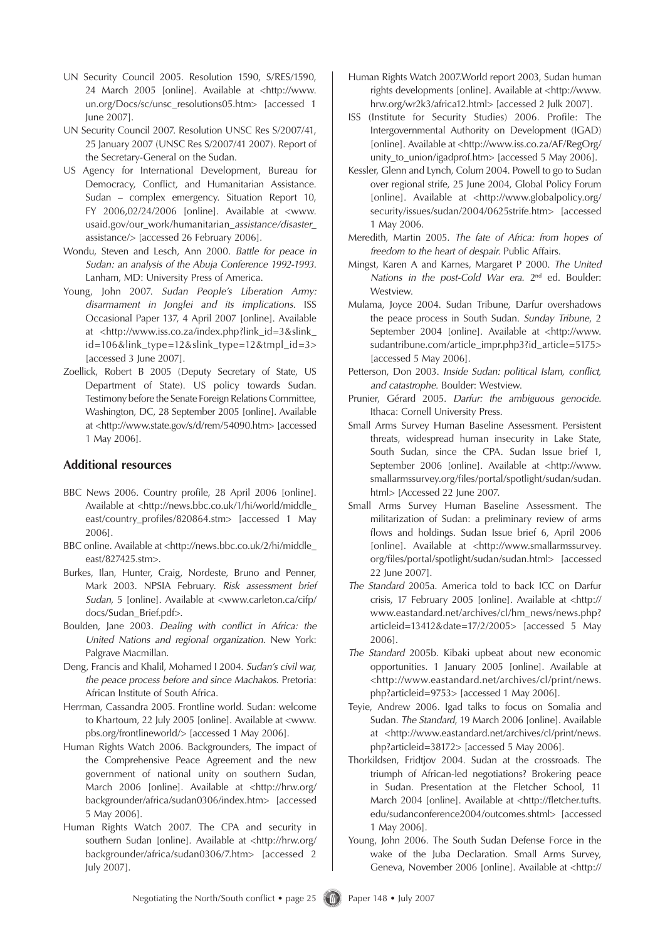- UN Security Council 2005. Resolution 1590, S/RES/1590, 24 March 2005 [online]. Available at <http://www. un.org/Docs/sc/unsc\_resolutions05.htm> [accessed 1 June 2007].
- UN Security Council 2007. Resolution UNSC Res S/2007/41, 25 January 2007 (UNSC Res S/2007/41 2007). Report of the Secretary-General on the Sudan.
- US Agency for International Development, Bureau for Democracy, Conflict, and Humanitarian Assistance. Sudan – complex emergency. Situation Report 10, FY 2006,02/24/2006 [online]. Available at <www. usaid.gov/our\_work/humanitarian\_*assistance/disaster*\_ assistance/> [accessed 26 February 2006].
- Wondu, Steven and Lesch, Ann 2000*. Battle for peace in Sudan: an analysis of the Abuja Conference 1992-1993.* Lanham, MD: University Press of America.
- Young, John 2007. *Sudan People's Liberation Army: disarmament in Jonglei and its implications.* ISS Occasional Paper 137, 4 April 2007 [online]. Available at <http://www.iss.co.za/index.php?link\_id=3&slink\_ id=106&link\_type=12&slink\_type=12&tmpl\_id=3> [accessed 3 June 2007].
- Zoellick, Robert B 2005 (Deputy Secretary of State, US Department of State). US policy towards Sudan. Testimony before the Senate Foreign Relations Committee, Washington, DC, 28 September 2005 [online]. Available at <http://www.state.gov/s/d/rem/54090.htm> [accessed 1 May 2006].

#### **Additional resources**

- BBC News 2006. Country profile, 28 April 2006 [online]. Available at <http://news.bbc.co.uk/1/hi/world/middle\_ east/country\_profiles/820864.stm> [accessed 1 May 2006].
- BBC online. Available at <http://news.bbc.co.uk/2/hi/middle\_ east/827425.stm>.
- Burkes, Ilan, Hunter, Craig, Nordeste, Bruno and Penner, Mark 2003. NPSIA February. *Risk assessment brief Sudan,* 5 [online]. Available at <www.carleton.ca/cifp/ docs/Sudan\_Brief.pdf>.
- Boulden, Jane 2003. *Dealing with conflict in Africa: the United Nations and regional organization.* New York: Palgrave Macmillan.
- Deng, Francis and Khalil, Mohamed I 2004. *Sudan's civil war, the peace process before and since Machakos.* Pretoria: African Institute of South Africa.
- Herrman, Cassandra 2005. Frontline world. Sudan: welcome to Khartoum, 22 July 2005 [online]. Available at <www. pbs.org/frontlineworld/> [accessed 1 May 2006].
- Human Rights Watch 2006. Backgrounders, The impact of the Comprehensive Peace Agreement and the new government of national unity on southern Sudan, March 2006 [online]. Available at <http://hrw.org/ backgrounder/africa/sudan0306/index.htm> [accessed 5 May 2006].
- Human Rights Watch 2007. The CPA and security in southern Sudan [online]. Available at <http://hrw.org/ backgrounder/africa/sudan0306/7.htm> [accessed 2 July 2007].
- Human Rights Watch 2007.World report 2003, Sudan human rights developments [online]. Available at <http://www. hrw.org/wr2k3/africa12.html> [accessed 2 Julk 2007].
- ISS (Institute for Security Studies) 2006. Profile: The Intergovernmental Authority on Development (IGAD) [online]. Available at <http://www.iss.co.za/AF/RegOrg/ unity\_to\_union/igadprof.htm> [accessed 5 May 2006].
- Kessler, Glenn and Lynch, Colum 2004. Powell to go to Sudan over regional strife, 25 June 2004, Global Policy Forum [online]. Available at <http://www.globalpolicy.org/ security/issues/sudan/2004/0625strife.htm> [accessed 1 May 2006.
- Meredith, Martin 2005. *The fate of Africa: from hopes of freedom to the heart of despair.* Public Affairs.
- Mingst, Karen A and Karnes, Margaret P 2000. *The United Nations in the post-Cold War era.* 2nd ed. Boulder: **Westview**
- Mulama, Joyce 2004. Sudan Tribune, Darfur overshadows the peace process in South Sudan. *Sunday Tribune*, 2 September 2004 [online]. Available at <http://www. sudantribune.com/article\_impr.php3?id\_article=5175> [accessed 5 May 2006].
- Petterson, Don 2003. *Inside Sudan: political Islam, conflict, and catastrophe*. Boulder: Westview.
- Prunier, Gérard 2005. *Darfur: the ambiguous genocide.*  Ithaca: Cornell University Press.
- Small Arms Survey Human Baseline Assessment. Persistent threats, widespread human insecurity in Lake State, South Sudan, since the CPA. Sudan Issue brief 1, September 2006 [online]. Available at <http://www. smallarmssurvey.org/files/portal/spotlight/sudan/sudan. html> [Accessed 22 June 2007.
- Small Arms Survey Human Baseline Assessment. The militarization of Sudan: a preliminary review of arms flows and holdings. Sudan Issue brief 6, April 2006 [online]. Available at <http://www.smallarmssurvey. org/files/portal/spotlight/sudan/sudan.html> [accessed 22 June 2007].
- *The Standard* 2005a. America told to back ICC on Darfur crisis, 17 February 2005 [online]. Available at <http:// www.eastandard.net/archives/cl/hm\_news/news.php? articleid=13412&date=17/2/2005> [accessed 5 May 2006].
- *The Standard* 2005b. Kibaki upbeat about new economic opportunities. 1 January 2005 [online]. Available at <http://www.eastandard.net/archives/cl/print/news. php?articleid=9753> [accessed 1 May 2006].
- Teyie, Andrew 2006. Igad talks to focus on Somalia and Sudan. *The Standard*, 19 March 2006 [online]. Available at <http://www.eastandard.net/archives/cl/print/news. php?articleid=38172> [accessed 5 May 2006].
- Thorkildsen, Fridtjov 2004. Sudan at the crossroads. The triumph of African-led negotiations? Brokering peace in Sudan. Presentation at the Fletcher School, 11 March 2004 [online]. Available at <http://fletcher.tufts. edu/sudanconference2004/outcomes.shtml> [accessed] 1 May 2006].
- Young, John 2006. The South Sudan Defense Force in the wake of the Juba Declaration. Small Arms Survey, Geneva, November 2006 [online]. Available at <http://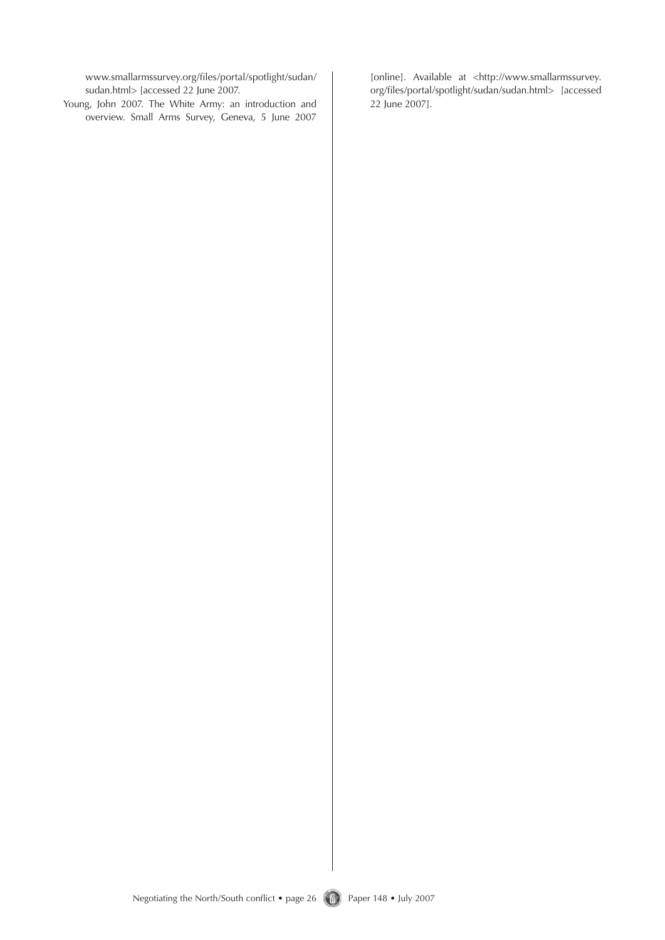www.smallarmssurvey.org/files/portal/spotlight/sudan/ sudan.html> [accessed 22 June 2007.

Young, John 2007. The White Army: an introduction and overview. Small Arms Survey, Geneva, 5 June 2007 [online]. Available at <http://www.smallarmssurvey. org/files/portal/spotlight/sudan/sudan.html> [accessed 22 June 2007].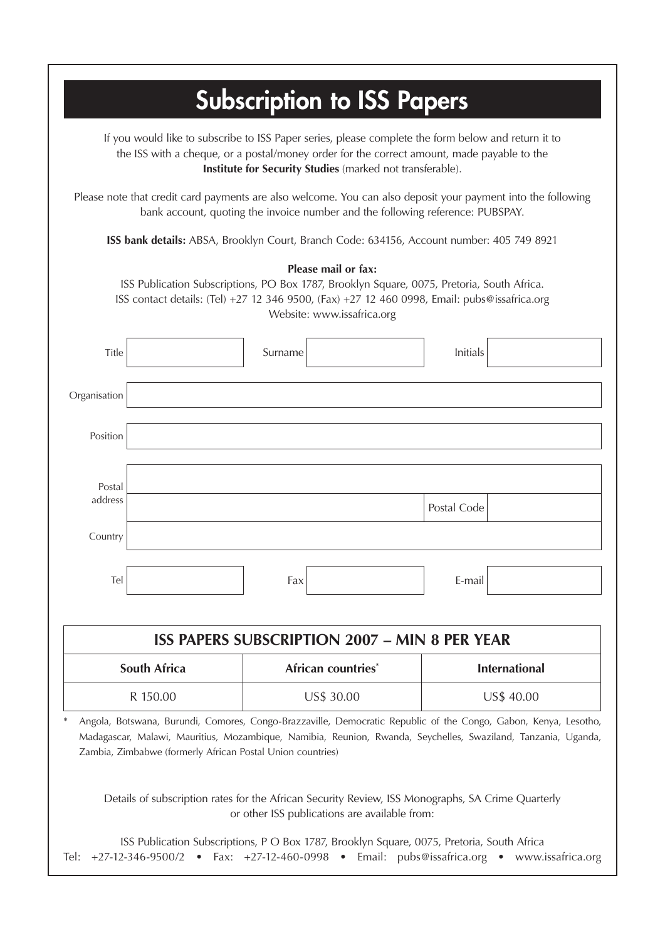# **Subscription to ISS Papers**

If you would like to subscribe to ISS Paper series, please complete the form below and return it to the ISS with a cheque, or a postal/money order for the correct amount, made payable to the **Institute for Security Studies** (marked not transferable).

Please note that credit card payments are also welcome. You can also deposit your payment into the following bank account, quoting the invoice number and the following reference: PUBSPAY.

**ISS bank details:** ABSA, Brooklyn Court, Branch Code: 634156, Account number: 405 749 8921

| Title               | Surname                                                                                                                                                                                                                                                                                        | Initials    |                      |  |
|---------------------|------------------------------------------------------------------------------------------------------------------------------------------------------------------------------------------------------------------------------------------------------------------------------------------------|-------------|----------------------|--|
|                     |                                                                                                                                                                                                                                                                                                |             |                      |  |
| Organisation        |                                                                                                                                                                                                                                                                                                |             |                      |  |
| Position            |                                                                                                                                                                                                                                                                                                |             |                      |  |
| Postal              |                                                                                                                                                                                                                                                                                                |             |                      |  |
| address             |                                                                                                                                                                                                                                                                                                | Postal Code |                      |  |
| Country             |                                                                                                                                                                                                                                                                                                |             |                      |  |
| Tel                 | Fax                                                                                                                                                                                                                                                                                            | E-mail      |                      |  |
|                     | <b>ISS PAPERS SUBSCRIPTION 2007 - MIN 8 PER YEAR</b>                                                                                                                                                                                                                                           |             |                      |  |
| <b>South Africa</b> | African countries*                                                                                                                                                                                                                                                                             |             | <b>International</b> |  |
| R 150.00            | US\$ 30.00                                                                                                                                                                                                                                                                                     |             | US\$ 40.00           |  |
|                     | Angola, Botswana, Burundi, Comores, Congo-Brazzaville, Democratic Republic of the Congo, Gabon, Kenya, Lesotho,<br>Madagascar, Malawi, Mauritius, Mozambique, Namibia, Reunion, Rwanda, Seychelles, Swaziland, Tanzania, Uganda,<br>Zambia, Zimbabwe (formerly African Postal Union countries) |             |                      |  |